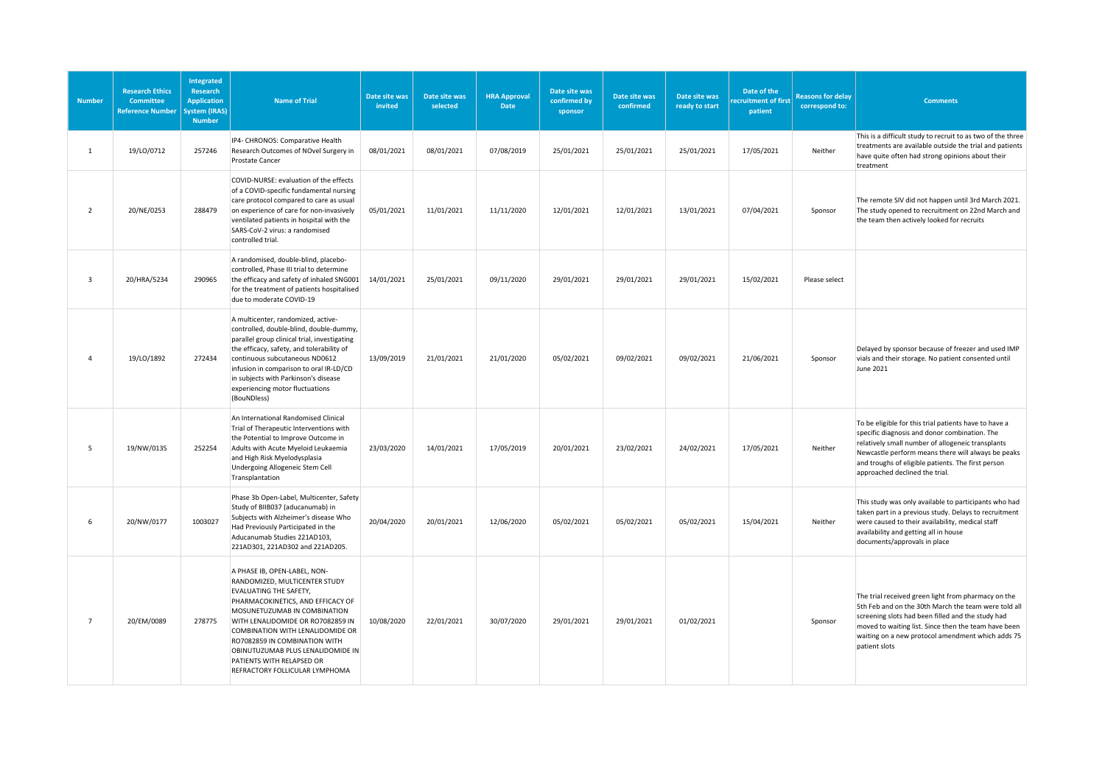| <b>Number</b>  | <b>Research Ethics</b><br>Committee<br><b>Reference Number</b> | Integrated<br><b>Research</b><br><b>Application</b><br>System (IRAS)<br><b>Number</b> | <b>Name of Trial</b>                                                                                                                                                                                                                                                                                                                                                       | Date site was<br>invited | Date site was<br>selected | <b>HRA Approval</b><br>Date | Date site was<br>confirmed by<br>sponsor | Date site was<br>confirmed | Date site was<br>ready to start | Date of the<br>ecruitment of first<br>patient | <b>Reasons for delay</b><br>correspond to: | <b>Comments</b>                                                                                                                                                                                                                                                                                           |
|----------------|----------------------------------------------------------------|---------------------------------------------------------------------------------------|----------------------------------------------------------------------------------------------------------------------------------------------------------------------------------------------------------------------------------------------------------------------------------------------------------------------------------------------------------------------------|--------------------------|---------------------------|-----------------------------|------------------------------------------|----------------------------|---------------------------------|-----------------------------------------------|--------------------------------------------|-----------------------------------------------------------------------------------------------------------------------------------------------------------------------------------------------------------------------------------------------------------------------------------------------------------|
| $\mathbf{1}$   | 19/LO/0712                                                     | 257246                                                                                | IP4- CHRONOS: Comparative Health<br>Research Outcomes of NOvel Surgery in<br><b>Prostate Cancer</b>                                                                                                                                                                                                                                                                        | 08/01/2021               | 08/01/2021                | 07/08/2019                  | 25/01/2021                               | 25/01/2021                 | 25/01/2021                      | 17/05/2021                                    | Neither                                    | This is a difficult study to recruit to as two of the three<br>treatments are available outside the trial and patients<br>have quite often had strong opinions about their<br>treatment                                                                                                                   |
| $\overline{2}$ | 20/NE/0253                                                     | 288479                                                                                | COVID-NURSE: evaluation of the effects<br>of a COVID-specific fundamental nursing<br>care protocol compared to care as usual<br>on experience of care for non-invasively<br>ventilated patients in hospital with the<br>SARS-CoV-2 virus: a randomised<br>controlled trial.                                                                                                | 05/01/2021               | 11/01/2021                | 11/11/2020                  | 12/01/2021                               | 12/01/2021                 | 13/01/2021                      | 07/04/2021                                    | Sponsor                                    | The remote SIV did not happen until 3rd March 2021.<br>The study opened to recruitment on 22nd March and<br>the team then actively looked for recruits                                                                                                                                                    |
| $\overline{3}$ | 20/HRA/5234                                                    | 290965                                                                                | A randomised, double-blind, placebo-<br>controlled, Phase III trial to determine<br>the efficacy and safety of inhaled SNG001<br>for the treatment of patients hospitalised<br>due to moderate COVID-19                                                                                                                                                                    | 14/01/2021               | 25/01/2021                | 09/11/2020                  | 29/01/2021                               | 29/01/2021                 | 29/01/2021                      | 15/02/2021                                    | Please select                              |                                                                                                                                                                                                                                                                                                           |
| $\overline{a}$ | 19/LO/1892                                                     | 272434                                                                                | A multicenter, randomized, active-<br>controlled, double-blind, double-dummy,<br>parallel group clinical trial, investigating<br>the efficacy, safety, and tolerability of<br>continuous subcutaneous ND0612<br>infusion in comparison to oral IR-LD/CD<br>in subjects with Parkinson's disease<br>experiencing motor fluctuations<br>(BouNDless)                          | 13/09/2019               | 21/01/2021                | 21/01/2020                  | 05/02/2021                               | 09/02/2021                 | 09/02/2021                      | 21/06/2021                                    | Sponsor                                    | Delayed by sponsor because of freezer and used IMP<br>vials and their storage. No patient consented until<br>June 2021                                                                                                                                                                                    |
| 5              | 19/NW/0135                                                     | 252254                                                                                | An International Randomised Clinical<br>Trial of Therapeutic Interventions with<br>the Potential to Improve Outcome in<br>Adults with Acute Myeloid Leukaemia<br>and High Risk Myelodysplasia<br>Undergoing Allogeneic Stem Cell<br>Transplantation                                                                                                                        | 23/03/2020               | 14/01/2021                | 17/05/2019                  | 20/01/2021                               | 23/02/2021                 | 24/02/2021                      | 17/05/2021                                    | Neither                                    | To be eligible for this trial patients have to have a<br>specific diagnosis and donor combination. The<br>relatively small number of allogeneic transplants<br>Newcastle perform means there will always be peaks<br>and troughs of eligible patients. The first person<br>approached declined the trial. |
| 6              | 20/NW/0177                                                     | 1003027                                                                               | Phase 3b Open-Label, Multicenter, Safety<br>Study of BIIB037 (aducanumab) in<br>Subjects with Alzheimer's disease Who<br>Had Previously Participated in the<br>Aducanumab Studies 221AD103,<br>221AD301, 221AD302 and 221AD205.                                                                                                                                            | 20/04/2020               | 20/01/2021                | 12/06/2020                  | 05/02/2021                               | 05/02/2021                 | 05/02/2021                      | 15/04/2021                                    | Neither                                    | This study was only available to participants who had<br>taken part in a previous study. Delays to recruitment<br>were caused to their availability, medical staff<br>availability and getting all in house<br>documents/approvals in place                                                               |
| $\overline{7}$ | 20/EM/0089                                                     | 278775                                                                                | A PHASE IB, OPEN-LABEL, NON-<br>RANDOMIZED, MULTICENTER STUDY<br>EVALUATING THE SAFETY,<br>PHARMACOKINETICS, AND EFFICACY OF<br>MOSUNETUZUMAB IN COMBINATION<br>WITH LENALIDOMIDE OR RO7082859 IN<br>COMBINATION WITH LENALIDOMIDE OR<br>RO7082859 IN COMBINATION WITH<br>OBINUTUZUMAB PLUS LENALIDOMIDE IN<br>PATIENTS WITH RELAPSED OR<br>REFRACTORY FOLLICULAR LYMPHOMA | 10/08/2020               | 22/01/2021                | 30/07/2020                  | 29/01/2021                               | 29/01/2021                 | 01/02/2021                      |                                               | Sponsor                                    | The trial received green light from pharmacy on the<br>5th Feb and on the 30th March the team were told all<br>screening slots had been filled and the study had<br>moved to waiting list. Since then the team have been<br>waiting on a new protocol amendment which adds 75<br>patient slots            |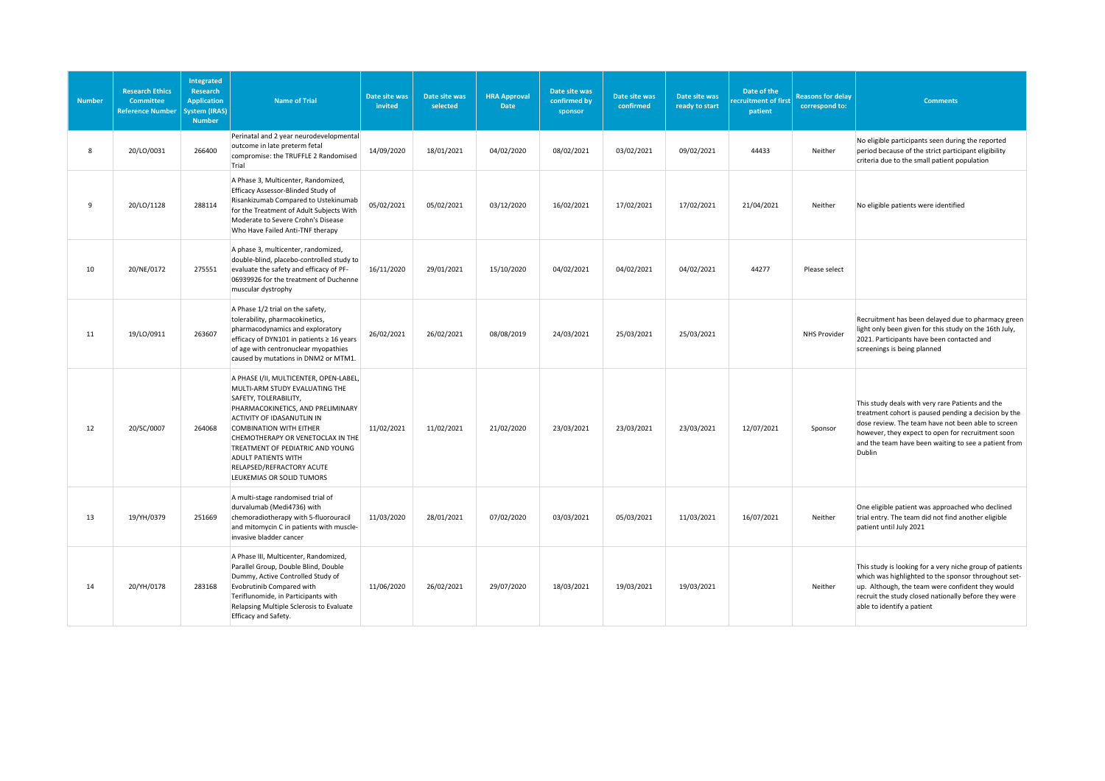| <b>Number</b> | <b>Research Ethics</b><br><b>Committee</b><br><b>Reference Number</b> | Integrated<br><b>Research</b><br><b>Application</b><br>ystem (IRAS)<br><b>Number</b> | <b>Name of Trial</b>                                                                                                                                                                                                                                                                                                                                                    | Date site was<br>invited | Date site was<br>selected | <b>HRA Approval</b><br><b>Date</b> | Date site was<br>confirmed by<br>sponsor | Date site was<br>confirmed | Date site was<br>ready to start | Date of the<br>ecruitment of first<br>patient | <b>Reasons for delay</b><br>correspond to: | <b>Comments</b>                                                                                                                                                                                                                                                                       |
|---------------|-----------------------------------------------------------------------|--------------------------------------------------------------------------------------|-------------------------------------------------------------------------------------------------------------------------------------------------------------------------------------------------------------------------------------------------------------------------------------------------------------------------------------------------------------------------|--------------------------|---------------------------|------------------------------------|------------------------------------------|----------------------------|---------------------------------|-----------------------------------------------|--------------------------------------------|---------------------------------------------------------------------------------------------------------------------------------------------------------------------------------------------------------------------------------------------------------------------------------------|
| 8             | 20/LO/0031                                                            | 266400                                                                               | Perinatal and 2 year neurodevelopmental<br>outcome in late preterm fetal<br>compromise: the TRUFFLE 2 Randomised<br>Trial                                                                                                                                                                                                                                               | 14/09/2020               | 18/01/2021                | 04/02/2020                         | 08/02/2021                               | 03/02/2021                 | 09/02/2021                      | 44433                                         | Neither                                    | No eligible participants seen during the reported<br>period because of the strict participant eligibility<br>criteria due to the small patient population                                                                                                                             |
| 9             | 20/LO/1128                                                            | 288114                                                                               | A Phase 3, Multicenter, Randomized,<br>Efficacy Assessor-Blinded Study of<br>Risankizumab Compared to Ustekinumab<br>for the Treatment of Adult Subjects With<br>Moderate to Severe Crohn's Disease<br>Who Have Failed Anti-TNF therapy                                                                                                                                 | 05/02/2021               | 05/02/2021                | 03/12/2020                         | 16/02/2021                               | 17/02/2021                 | 17/02/2021                      | 21/04/2021                                    | Neither                                    | No eligible patients were identified                                                                                                                                                                                                                                                  |
| 10            | 20/NE/0172                                                            | 275551                                                                               | A phase 3, multicenter, randomized,<br>double-blind, placebo-controlled study to<br>evaluate the safety and efficacy of PF-<br>06939926 for the treatment of Duchenne<br>muscular dystrophy                                                                                                                                                                             | 16/11/2020               | 29/01/2021                | 15/10/2020                         | 04/02/2021                               | 04/02/2021                 | 04/02/2021                      | 44277                                         | Please select                              |                                                                                                                                                                                                                                                                                       |
| 11            | 19/LO/0911                                                            | 263607                                                                               | A Phase 1/2 trial on the safety,<br>tolerability, pharmacokinetics,<br>pharmacodynamics and exploratory<br>efficacy of DYN101 in patients ≥ 16 years<br>of age with centronuclear myopathies<br>caused by mutations in DNM2 or MTM1.                                                                                                                                    | 26/02/2021               | 26/02/2021                | 08/08/2019                         | 24/03/2021                               | 25/03/2021                 | 25/03/2021                      |                                               | <b>NHS Provider</b>                        | Recruitment has been delayed due to pharmacy green<br>light only been given for this study on the 16th July,<br>2021. Participants have been contacted and<br>screenings is being planned                                                                                             |
| 12            | 20/SC/0007                                                            | 264068                                                                               | A PHASE I/II, MULTICENTER, OPEN-LABEL,<br>MULTI-ARM STUDY EVALUATING THE<br>SAFETY, TOLERABILITY,<br>PHARMACOKINETICS, AND PRELIMINARY<br>ACTIVITY OF IDASANUTLIN IN<br><b>COMBINATION WITH EITHER</b><br>CHEMOTHERAPY OR VENETOCLAX IN THE<br>TREATMENT OF PEDIATRIC AND YOUNG<br><b>ADULT PATIENTS WITH</b><br>RELAPSED/REFRACTORY ACUTE<br>LEUKEMIAS OR SOLID TUMORS | 11/02/2021               | 11/02/2021                | 21/02/2020                         | 23/03/2021                               | 23/03/2021                 | 23/03/2021                      | 12/07/2021                                    | Sponsor                                    | This study deals with very rare Patients and the<br>treatment cohort is paused pending a decision by the<br>dose review. The team have not been able to screen<br>however, they expect to open for recruitment soon<br>and the team have been waiting to see a patient from<br>Dublin |
| 13            | 19/YH/0379                                                            | 251669                                                                               | A multi-stage randomised trial of<br>durvalumab (Medi4736) with<br>chemoradiotherapy with 5-fluorouracil<br>and mitomycin C in patients with muscle-<br>invasive bladder cancer                                                                                                                                                                                         | 11/03/2020               | 28/01/2021                | 07/02/2020                         | 03/03/2021                               | 05/03/2021                 | 11/03/2021                      | 16/07/2021                                    | Neither                                    | One eligible patient was approached who declined<br>trial entry. The team did not find another eligible<br>patient until July 2021                                                                                                                                                    |
| 14            | 20/YH/0178                                                            | 283168                                                                               | A Phase III, Multicenter, Randomized,<br>Parallel Group, Double Blind, Double<br>Dummy, Active Controlled Study of<br>Evobrutinib Compared with<br>Teriflunomide, in Participants with<br>Relapsing Multiple Sclerosis to Evaluate<br>Efficacy and Safety.                                                                                                              | 11/06/2020               | 26/02/2021                | 29/07/2020                         | 18/03/2021                               | 19/03/2021                 | 19/03/2021                      |                                               | Neither                                    | This study is looking for a very niche group of patients<br>which was highlighted to the sponsor throughout set-<br>up. Although, the team were confident they would<br>recruit the study closed nationally before they were<br>able to identify a patient                            |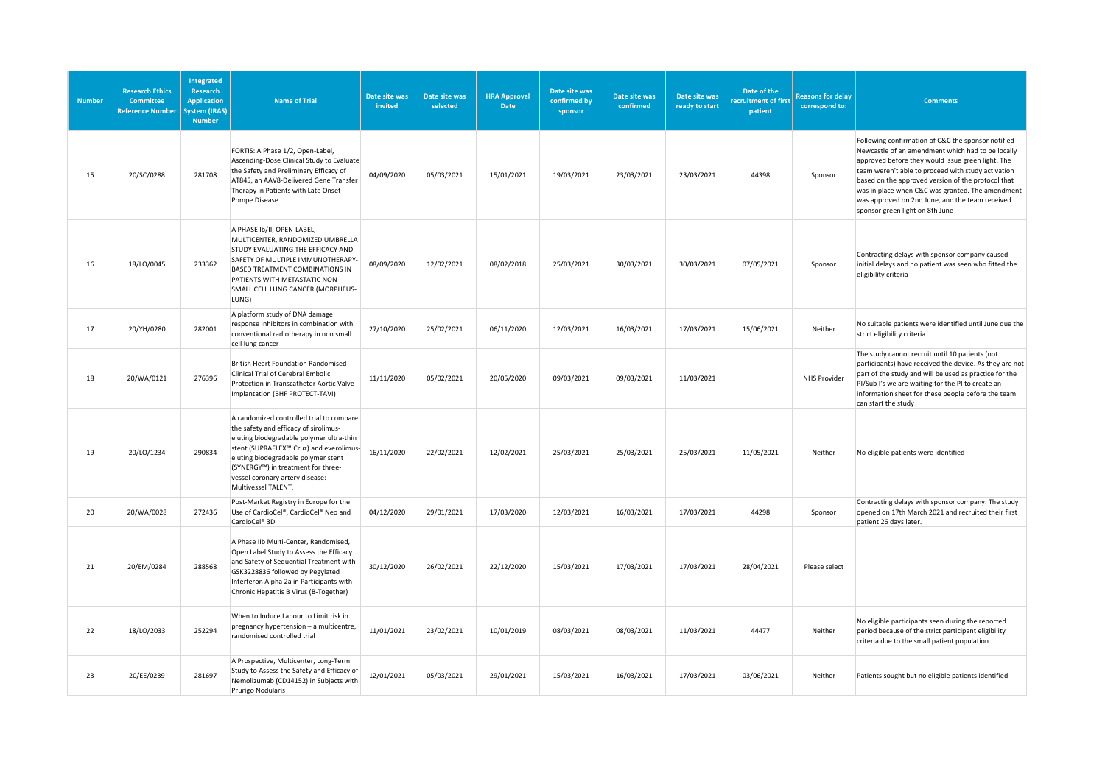| <b>Number</b> | <b>Research Ethics</b><br><b>Committee</b><br><b>Reference Number</b> | Integrated<br><b>Research</b><br><b>Application</b><br>System (IRAS)<br><b>Number</b> | <b>Name of Trial</b>                                                                                                                                                                                                                                                                                            | Date site was<br>invited | Date site was<br>selected | <b>HRA Approval</b><br>Date | Date site was<br>confirmed by<br>sponsor | Date site was<br>confirmed | Date site was<br>ready to start | Date of the<br>cruitment of first<br>patient | <b>Reasons for delay</b><br>correspond to: | <b>Comments</b>                                                                                                                                                                                                                                                                                                                                                                                                    |
|---------------|-----------------------------------------------------------------------|---------------------------------------------------------------------------------------|-----------------------------------------------------------------------------------------------------------------------------------------------------------------------------------------------------------------------------------------------------------------------------------------------------------------|--------------------------|---------------------------|-----------------------------|------------------------------------------|----------------------------|---------------------------------|----------------------------------------------|--------------------------------------------|--------------------------------------------------------------------------------------------------------------------------------------------------------------------------------------------------------------------------------------------------------------------------------------------------------------------------------------------------------------------------------------------------------------------|
| 15            | 20/SC/0288                                                            | 281708                                                                                | FORTIS: A Phase 1/2, Open-Label,<br>Ascending-Dose Clinical Study to Evaluate<br>the Safety and Preliminary Efficacy of<br>AT845, an AAV8-Delivered Gene Transfer<br>Therapy in Patients with Late Onset<br>Pompe Disease                                                                                       | 04/09/2020               | 05/03/2021                | 15/01/2021                  | 19/03/2021                               | 23/03/2021                 | 23/03/2021                      | 44398                                        | Sponsor                                    | Following confirmation of C&C the sponsor notified<br>Newcastle of an amendment which had to be locally<br>approved before they would issue green light. The<br>team weren't able to proceed with study activation<br>based on the approved version of the protocol that<br>was in place when C&C was granted. The amendment<br>was approved on 2nd June, and the team received<br>sponsor green light on 8th June |
| 16            | 18/LO/0045                                                            | 233362                                                                                | A PHASE Ib/II, OPEN-LABEL,<br>MULTICENTER, RANDOMIZED UMBRELLA<br>STUDY EVALUATING THE EFFICACY AND<br>SAFETY OF MULTIPLE IMMUNOTHERAPY-<br>BASED TREATMENT COMBINATIONS IN<br>PATIENTS WITH METASTATIC NON-<br>SMALL CELL LUNG CANCER (MORPHEUS-<br>LUNG)                                                      | 08/09/2020               | 12/02/2021                | 08/02/2018                  | 25/03/2021                               | 30/03/2021                 | 30/03/2021                      | 07/05/2021                                   | Sponsor                                    | Contracting delays with sponsor company caused<br>initial delays and no patient was seen who fitted the<br>eligibility criteria                                                                                                                                                                                                                                                                                    |
| 17            | 20/YH/0280                                                            | 282001                                                                                | A platform study of DNA damage<br>response inhibitors in combination with<br>conventional radiotherapy in non small<br>cell lung cancer                                                                                                                                                                         | 27/10/2020               | 25/02/2021                | 06/11/2020                  | 12/03/2021                               | 16/03/2021                 | 17/03/2021                      | 15/06/2021                                   | Neither                                    | No suitable patients were identified until June due the<br>strict eligibility criteria                                                                                                                                                                                                                                                                                                                             |
| 18            | 20/WA/0121                                                            | 276396                                                                                | <b>British Heart Foundation Randomised</b><br>Clinical Trial of Cerebral Embolic<br>Protection in Transcatheter Aortic Valve<br>Implantation (BHF PROTECT-TAVI)                                                                                                                                                 | 11/11/2020               | 05/02/2021                | 20/05/2020                  | 09/03/2021                               | 09/03/2021                 | 11/03/2021                      |                                              | <b>NHS Provider</b>                        | The study cannot recruit until 10 patients (not<br>participants) have received the device. As they are not<br>part of the study and will be used as practice for the<br>PI/Sub I's we are waiting for the PI to create an<br>information sheet for these people before the team<br>can start the study                                                                                                             |
| 19            | 20/LO/1234                                                            | 290834                                                                                | A randomized controlled trial to compare<br>the safety and efficacy of sirolimus-<br>eluting biodegradable polymer ultra-thin<br>stent (SUPRAFLEX™ Cruz) and everolimus-<br>eluting biodegradable polymer stent<br>(SYNERGY™) in treatment for three-<br>vessel coronary artery disease:<br>Multivessel TALENT. | 16/11/2020               | 22/02/2021                | 12/02/2021                  | 25/03/2021                               | 25/03/2021                 | 25/03/2021                      | 11/05/2021                                   | Neither                                    | No eligible patients were identified                                                                                                                                                                                                                                                                                                                                                                               |
| 20            | 20/WA/0028                                                            | 272436                                                                                | Post-Market Registry in Europe for the<br>Use of CardioCel®, CardioCel® Neo and<br>CardioCel <sup>®</sup> 3D                                                                                                                                                                                                    | 04/12/2020               | 29/01/2021                | 17/03/2020                  | 12/03/2021                               | 16/03/2021                 | 17/03/2021                      | 44298                                        | Sponsor                                    | Contracting delays with sponsor company. The study<br>opened on 17th March 2021 and recruited their first<br>patient 26 days later.                                                                                                                                                                                                                                                                                |
| 21            | 20/EM/0284                                                            | 288568                                                                                | A Phase IIb Multi-Center, Randomised,<br>Open Label Study to Assess the Efficacy<br>and Safety of Sequential Treatment with<br>GSK3228836 followed by Pegylated<br>Interferon Alpha 2a in Participants with<br>Chronic Hepatitis B Virus (B-Together)                                                           | 30/12/2020               | 26/02/2021                | 22/12/2020                  | 15/03/2021                               | 17/03/2021                 | 17/03/2021                      | 28/04/2021                                   | Please select                              |                                                                                                                                                                                                                                                                                                                                                                                                                    |
| 22            | 18/LO/2033                                                            | 252294                                                                                | When to Induce Labour to Limit risk in<br>pregnancy hypertension - a multicentre,<br>randomised controlled trial                                                                                                                                                                                                | 11/01/2021               | 23/02/2021                | 10/01/2019                  | 08/03/2021                               | 08/03/2021                 | 11/03/2021                      | 44477                                        | Neither                                    | No eligible participants seen during the reported<br>period because of the strict participant eligibility<br>criteria due to the small patient population                                                                                                                                                                                                                                                          |
| 23            | 20/EE/0239                                                            | 281697                                                                                | A Prospective, Multicenter, Long-Term<br>Study to Assess the Safety and Efficacy of<br>Nemolizumab (CD14152) in Subjects with<br>Prurigo Nodularis                                                                                                                                                              | 12/01/2021               | 05/03/2021                | 29/01/2021                  | 15/03/2021                               | 16/03/2021                 | 17/03/2021                      | 03/06/2021                                   | Neither                                    | Patients sought but no eligible patients identified                                                                                                                                                                                                                                                                                                                                                                |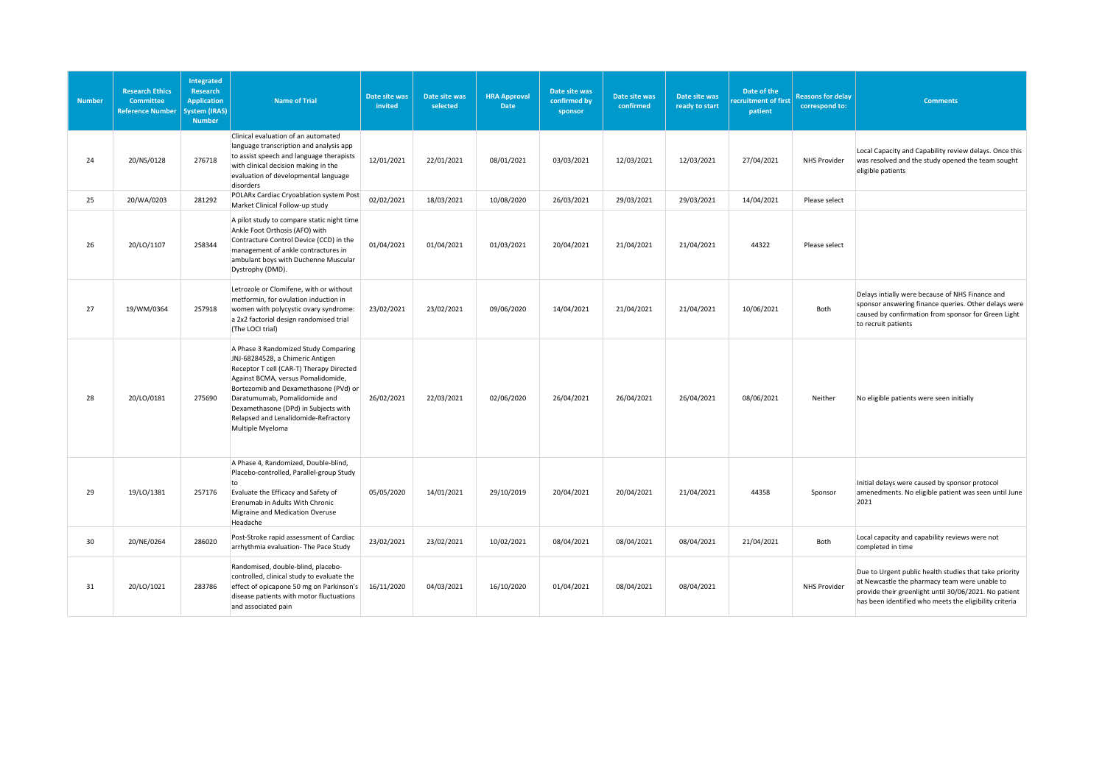| <b>Number</b> | <b>Research Ethics</b><br><b>Committee</b><br><b>Reference Number</b> | Integrated<br><b>Research</b><br><b>Application</b><br>System (IRAS)<br><b>Number</b> | Name of Trial                                                                                                                                                                                                                                                                                                                            | Date site was<br>invited | Date site was<br>selected | <b>HRA Approval</b><br><b>Date</b> | Date site was<br>confirmed by<br>sponsor | Date site was<br>confirmed | Date site was<br>ready to start | Date of the<br>ecruitment of first<br>patient | <b>Reasons for delay</b><br>correspond to: | <b>Comments</b>                                                                                                                                                                                                            |
|---------------|-----------------------------------------------------------------------|---------------------------------------------------------------------------------------|------------------------------------------------------------------------------------------------------------------------------------------------------------------------------------------------------------------------------------------------------------------------------------------------------------------------------------------|--------------------------|---------------------------|------------------------------------|------------------------------------------|----------------------------|---------------------------------|-----------------------------------------------|--------------------------------------------|----------------------------------------------------------------------------------------------------------------------------------------------------------------------------------------------------------------------------|
| 24            | 20/NS/0128                                                            | 276718                                                                                | Clinical evaluation of an automated<br>language transcription and analysis app<br>to assist speech and language therapists<br>with clinical decision making in the<br>evaluation of developmental language<br>disorders                                                                                                                  | 12/01/2021               | 22/01/2021                | 08/01/2021                         | 03/03/2021                               | 12/03/2021                 | 12/03/2021                      | 27/04/2021                                    | <b>NHS Provider</b>                        | Local Capacity and Capability review delays. Once this<br>was resolved and the study opened the team sought<br>eligible patients                                                                                           |
| 25            | 20/WA/0203                                                            | 281292                                                                                | POLARx Cardiac Cryoablation system Post<br>Market Clinical Follow-up study                                                                                                                                                                                                                                                               | 02/02/2021               | 18/03/2021                | 10/08/2020                         | 26/03/2021                               | 29/03/2021                 | 29/03/2021                      | 14/04/2021                                    | Please select                              |                                                                                                                                                                                                                            |
| 26            | 20/LO/1107                                                            | 258344                                                                                | A pilot study to compare static night time<br>Ankle Foot Orthosis (AFO) with<br>Contracture Control Device (CCD) in the<br>management of ankle contractures in<br>ambulant boys with Duchenne Muscular<br>Dystrophy (DMD).                                                                                                               | 01/04/2021               | 01/04/2021                | 01/03/2021                         | 20/04/2021                               | 21/04/2021                 | 21/04/2021                      | 44322                                         | Please select                              |                                                                                                                                                                                                                            |
| 27            | 19/WM/0364                                                            | 257918                                                                                | Letrozole or Clomifene, with or without<br>metformin, for ovulation induction in<br>women with polycystic ovary syndrome:<br>a 2x2 factorial design randomised trial<br>(The LOCI trial)                                                                                                                                                 | 23/02/2021               | 23/02/2021                | 09/06/2020                         | 14/04/2021                               | 21/04/2021                 | 21/04/2021                      | 10/06/2021                                    | Both                                       | Delays intially were because of NHS Finance and<br>sponsor answering finance queries. Other delays were<br>caused by confirmation from sponsor for Green Light<br>to recruit patients                                      |
| 28            | 20/LO/0181                                                            | 275690                                                                                | A Phase 3 Randomized Study Comparing<br>JNJ-68284528, a Chimeric Antigen<br>Receptor T cell (CAR-T) Therapy Directed<br>Against BCMA, versus Pomalidomide,<br>Bortezomib and Dexamethasone (PVd) or<br>Daratumumab, Pomalidomide and<br>Dexamethasone (DPd) in Subjects with<br>Relapsed and Lenalidomide-Refractory<br>Multiple Myeloma | 26/02/2021               | 22/03/2021                | 02/06/2020                         | 26/04/2021                               | 26/04/2021                 | 26/04/2021                      | 08/06/2021                                    | Neither                                    | No eligible patients were seen initially                                                                                                                                                                                   |
| 29            | 19/LO/1381                                                            | 257176                                                                                | A Phase 4, Randomized, Double-blind,<br>Placebo-controlled, Parallel-group Study<br>to<br>Evaluate the Efficacy and Safety of<br>Erenumab in Adults With Chronic<br>Migraine and Medication Overuse<br>Headache                                                                                                                          | 05/05/2020               | 14/01/2021                | 29/10/2019                         | 20/04/2021                               | 20/04/2021                 | 21/04/2021                      | 44358                                         | Sponsor                                    | Initial delays were caused by sponsor protocol<br>amenedments. No eligible patient was seen until June<br>2021                                                                                                             |
| 30            | 20/NE/0264                                                            | 286020                                                                                | Post-Stroke rapid assessment of Cardiac<br>arrhythmia evaluation- The Pace Study                                                                                                                                                                                                                                                         | 23/02/2021               | 23/02/2021                | 10/02/2021                         | 08/04/2021                               | 08/04/2021                 | 08/04/2021                      | 21/04/2021                                    | Both                                       | Local capacity and capability reviews were not<br>completed in time                                                                                                                                                        |
| 31            | 20/LO/1021                                                            | 283786                                                                                | Randomised, double-blind, placebo-<br>controlled, clinical study to evaluate the<br>effect of opicapone 50 mg on Parkinson's<br>disease patients with motor fluctuations<br>and associated pain                                                                                                                                          | 16/11/2020               | 04/03/2021                | 16/10/2020                         | 01/04/2021                               | 08/04/2021                 | 08/04/2021                      |                                               | <b>NHS Provider</b>                        | Due to Urgent public health studies that take priority<br>at Newcastle the pharmacy team were unable to<br>provide their greenlight until 30/06/2021. No patient<br>has been identified who meets the eligibility criteria |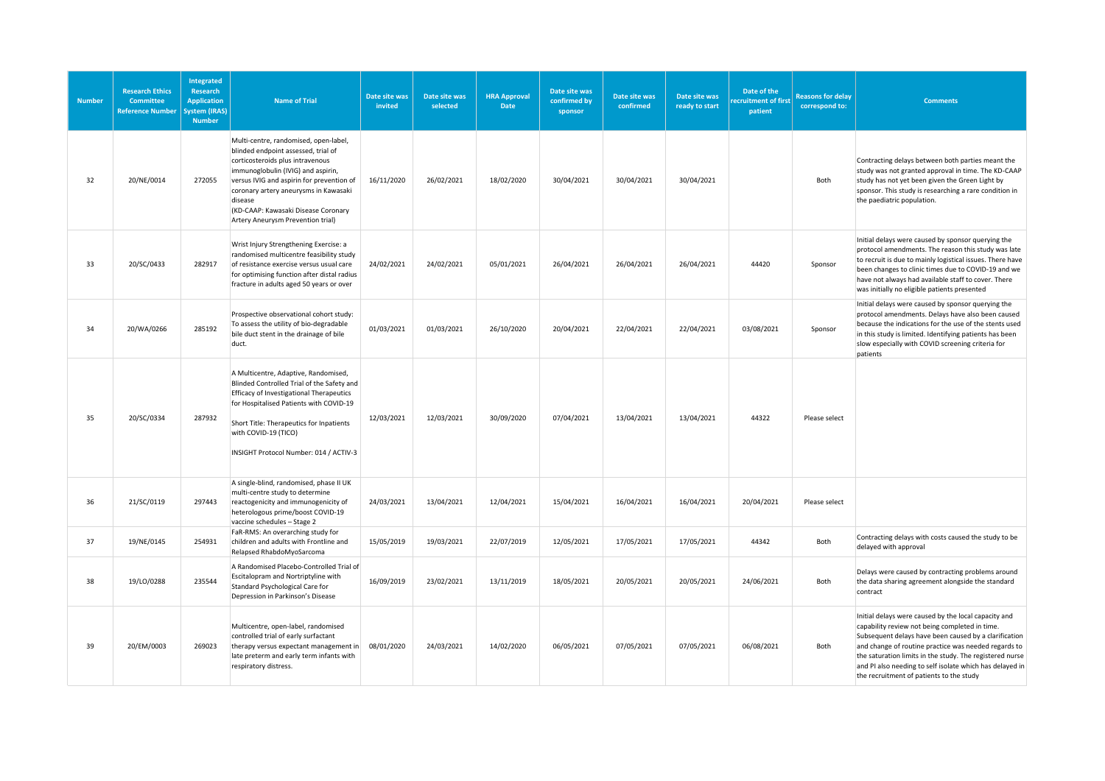| <b>Number</b> | <b>Research Ethics</b><br>Committee<br><b>Reference Number</b> | Integrated<br><b>Research</b><br><b>Application</b><br><b>ystem (IRAS)</b><br><b>Number</b> | <b>Name of Trial</b>                                                                                                                                                                                                                                                                                                                | Date site was<br>invited | Date site was<br>selected | <b>HRA Approval</b><br>Date | Date site was<br>confirmed by<br>sponsor | Date site was<br>confirmed | Date site was<br>ready to start | Date of the<br>ecruitment of first<br>patient | <b>Reasons for delay</b><br>correspond to: | <b>Comments</b>                                                                                                                                                                                                                                                                                                                                                                             |
|---------------|----------------------------------------------------------------|---------------------------------------------------------------------------------------------|-------------------------------------------------------------------------------------------------------------------------------------------------------------------------------------------------------------------------------------------------------------------------------------------------------------------------------------|--------------------------|---------------------------|-----------------------------|------------------------------------------|----------------------------|---------------------------------|-----------------------------------------------|--------------------------------------------|---------------------------------------------------------------------------------------------------------------------------------------------------------------------------------------------------------------------------------------------------------------------------------------------------------------------------------------------------------------------------------------------|
| 32            | 20/NE/0014                                                     | 272055                                                                                      | Multi-centre, randomised, open-label,<br>blinded endpoint assessed, trial of<br>corticosteroids plus intravenous<br>immunoglobulin (IVIG) and aspirin,<br>versus IVIG and aspirin for prevention of<br>coronary artery aneurysms in Kawasaki<br>disease<br>(KD-CAAP: Kawasaki Disease Coronary<br>Artery Aneurysm Prevention trial) | 16/11/2020               | 26/02/2021                | 18/02/2020                  | 30/04/2021                               | 30/04/2021                 | 30/04/2021                      |                                               | Both                                       | Contracting delays between both parties meant the<br>study was not granted approval in time. The KD-CAAP<br>study has not yet been given the Green Light by<br>sponsor. This study is researching a rare condition in<br>the paediatric population.                                                                                                                                         |
| 33            | 20/SC/0433                                                     | 282917                                                                                      | Wrist Injury Strengthening Exercise: a<br>randomised multicentre feasibility study<br>of resistance exercise versus usual care<br>for optimising function after distal radius<br>fracture in adults aged 50 years or over                                                                                                           | 24/02/2021               | 24/02/2021                | 05/01/2021                  | 26/04/2021                               | 26/04/2021                 | 26/04/2021                      | 44420                                         | Sponsor                                    | Initial delays were caused by sponsor querying the<br>protocol amendments. The reason this study was late<br>to recruit is due to mainly logistical issues. There have<br>been changes to clinic times due to COVID-19 and we<br>have not always had available staff to cover. There<br>was initially no eligible patients presented                                                        |
| 34            | 20/WA/0266                                                     | 285192                                                                                      | Prospective observational cohort study:<br>To assess the utility of bio-degradable<br>bile duct stent in the drainage of bile<br>duct.                                                                                                                                                                                              | 01/03/2021               | 01/03/2021                | 26/10/2020                  | 20/04/2021                               | 22/04/2021                 | 22/04/2021                      | 03/08/2021                                    | Sponsor                                    | Initial delays were caused by sponsor querying the<br>protocol amendments. Delays have also been caused<br>because the indications for the use of the stents used<br>in this study is limited. Identifying patients has been<br>slow especially with COVID screening criteria for<br>patients                                                                                               |
| 35            | 20/SC/0334                                                     | 287932                                                                                      | A Multicentre, Adaptive, Randomised,<br>Blinded Controlled Trial of the Safety and<br><b>Efficacy of Investigational Therapeutics</b><br>for Hospitalised Patients with COVID-19<br>Short Title: Therapeutics for Inpatients<br>with COVID-19 (TICO)<br>INSIGHT Protocol Number: 014 / ACTIV-3                                      | 12/03/2021               | 12/03/2021                | 30/09/2020                  | 07/04/2021                               | 13/04/2021                 | 13/04/2021                      | 44322                                         | Please select                              |                                                                                                                                                                                                                                                                                                                                                                                             |
| 36            | 21/SC/0119                                                     | 297443                                                                                      | A single-blind, randomised, phase II UK<br>multi-centre study to determine<br>reactogenicity and immunogenicity of<br>heterologous prime/boost COVID-19<br>vaccine schedules - Stage 2                                                                                                                                              | 24/03/2021               | 13/04/2021                | 12/04/2021                  | 15/04/2021                               | 16/04/2021                 | 16/04/2021                      | 20/04/2021                                    | Please select                              |                                                                                                                                                                                                                                                                                                                                                                                             |
| 37            | 19/NE/0145                                                     | 254931                                                                                      | FaR-RMS: An overarching study for<br>children and adults with Frontline and<br>Relapsed RhabdoMyoSarcoma                                                                                                                                                                                                                            | 15/05/2019               | 19/03/2021                | 22/07/2019                  | 12/05/2021                               | 17/05/2021                 | 17/05/2021                      | 44342                                         | Both                                       | Contracting delays with costs caused the study to be<br>delayed with approval                                                                                                                                                                                                                                                                                                               |
| 38            | 19/LO/0288                                                     | 235544                                                                                      | A Randomised Placebo-Controlled Trial of<br>Escitalopram and Nortriptyline with<br>Standard Psychological Care for<br>Depression in Parkinson's Disease                                                                                                                                                                             | 16/09/2019               | 23/02/2021                | 13/11/2019                  | 18/05/2021                               | 20/05/2021                 | 20/05/2021                      | 24/06/2021                                    | Both                                       | Delays were caused by contracting problems around<br>the data sharing agreement alongside the standard<br>contract                                                                                                                                                                                                                                                                          |
| 39            | 20/EM/0003                                                     | 269023                                                                                      | Multicentre, open-label, randomised<br>controlled trial of early surfactant<br>therapy versus expectant management in<br>late preterm and early term infants with<br>respiratory distress.                                                                                                                                          | 08/01/2020               | 24/03/2021                | 14/02/2020                  | 06/05/2021                               | 07/05/2021                 | 07/05/2021                      | 06/08/2021                                    | Both                                       | Initial delays were caused by the local capacity and<br>capability review not being completed in time.<br>Subsequent delays have been caused by a clarification<br>and change of routine practice was needed regards to<br>the saturation limits in the study. The registered nurse<br>and PI also needing to self isolate which has delayed in<br>the recruitment of patients to the study |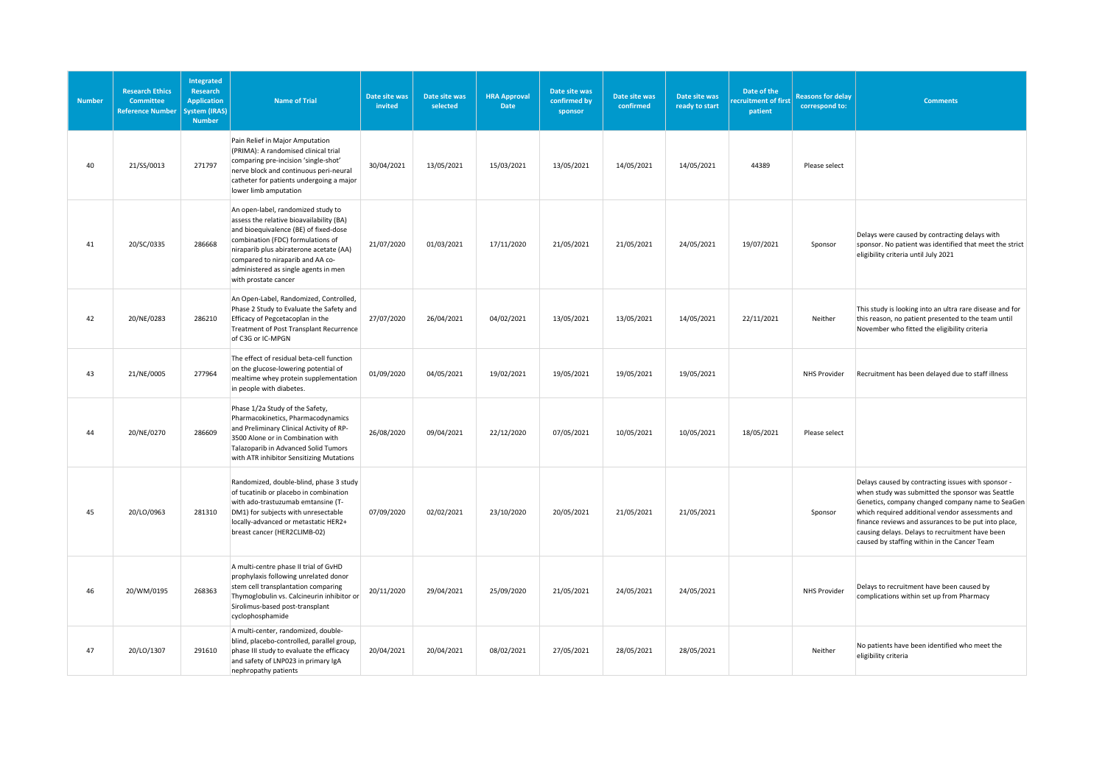| <b>Number</b> | <b>Research Ethics</b><br><b>Committee</b><br><b>Reference Number</b> | <b>Integrated</b><br><b>Research</b><br><b>Application</b><br>ystem (IRAS)<br><b>Number</b> | <b>Name of Trial</b>                                                                                                                                                                                                                                                                                        | Date site was<br>invited | Date site was<br>selected | <b>HRA Approval</b><br>Date | Date site was<br>confirmed by<br>sponsor | Date site was<br>confirmed | Date site was<br>ready to start | Date of the<br>ecruitment of first<br>patient | <b>Reasons for delay</b><br>correspond to: | <b>Comments</b>                                                                                                                                                                                                                                                                                                                                                           |
|---------------|-----------------------------------------------------------------------|---------------------------------------------------------------------------------------------|-------------------------------------------------------------------------------------------------------------------------------------------------------------------------------------------------------------------------------------------------------------------------------------------------------------|--------------------------|---------------------------|-----------------------------|------------------------------------------|----------------------------|---------------------------------|-----------------------------------------------|--------------------------------------------|---------------------------------------------------------------------------------------------------------------------------------------------------------------------------------------------------------------------------------------------------------------------------------------------------------------------------------------------------------------------------|
| 40            | 21/SS/0013                                                            | 271797                                                                                      | Pain Relief in Major Amputation<br>(PRIMA): A randomised clinical trial<br>comparing pre-incision 'single-shot'<br>nerve block and continuous peri-neural<br>catheter for patients undergoing a major<br>lower limb amputation                                                                              | 30/04/2021               | 13/05/2021                | 15/03/2021                  | 13/05/2021                               | 14/05/2021                 | 14/05/2021                      | 44389                                         | Please select                              |                                                                                                                                                                                                                                                                                                                                                                           |
| 41            | 20/SC/0335                                                            | 286668                                                                                      | An open-label, randomized study to<br>assess the relative bioavailability (BA)<br>and bioequivalence (BE) of fixed-dose<br>combination (FDC) formulations of<br>niraparib plus abiraterone acetate (AA)<br>compared to niraparib and AA co-<br>administered as single agents in men<br>with prostate cancer | 21/07/2020               | 01/03/2021                | 17/11/2020                  | 21/05/2021                               | 21/05/2021                 | 24/05/2021                      | 19/07/2021                                    | Sponsor                                    | Delays were caused by contracting delays with<br>sponsor. No patient was identified that meet the strict<br>eligibility criteria until July 2021                                                                                                                                                                                                                          |
| 42            | 20/NE/0283                                                            | 286210                                                                                      | An Open-Label, Randomized, Controlled,<br>Phase 2 Study to Evaluate the Safety and<br>Efficacy of Pegcetacoplan in the<br>Treatment of Post Transplant Recurrence<br>of C3G or IC-MPGN                                                                                                                      | 27/07/2020               | 26/04/2021                | 04/02/2021                  | 13/05/2021                               | 13/05/2021                 | 14/05/2021                      | 22/11/2021                                    | Neither                                    | This study is looking into an ultra rare disease and for<br>this reason, no patient presented to the team until<br>November who fitted the eligibility criteria                                                                                                                                                                                                           |
| 43            | 21/NE/0005                                                            | 277964                                                                                      | The effect of residual beta-cell function<br>on the glucose-lowering potential of<br>mealtime whey protein supplementation<br>in people with diabetes.                                                                                                                                                      | 01/09/2020               | 04/05/2021                | 19/02/2021                  | 19/05/2021                               | 19/05/2021                 | 19/05/2021                      |                                               | <b>NHS Provider</b>                        | Recruitment has been delayed due to staff illness                                                                                                                                                                                                                                                                                                                         |
| 44            | 20/NE/0270                                                            | 286609                                                                                      | Phase 1/2a Study of the Safety,<br>Pharmacokinetics, Pharmacodynamics<br>and Preliminary Clinical Activity of RP-<br>3500 Alone or in Combination with<br>Talazoparib in Advanced Solid Tumors<br>with ATR inhibitor Sensitizing Mutations                                                                  | 26/08/2020               | 09/04/2021                | 22/12/2020                  | 07/05/2021                               | 10/05/2021                 | 10/05/2021                      | 18/05/2021                                    | Please select                              |                                                                                                                                                                                                                                                                                                                                                                           |
| 45            | 20/LO/0963                                                            | 281310                                                                                      | Randomized, double-blind, phase 3 study<br>of tucatinib or placebo in combination<br>with ado-trastuzumab emtansine (T-<br>DM1) for subjects with unresectable<br>locally-advanced or metastatic HER2+<br>breast cancer (HER2CLIMB-02)                                                                      | 07/09/2020               | 02/02/2021                | 23/10/2020                  | 20/05/2021                               | 21/05/2021                 | 21/05/2021                      |                                               | Sponsor                                    | Delays caused by contracting issues with sponsor -<br>when study was submitted the sponsor was Seattle<br>Genetics, company changed company name to SeaGen<br>which required additional vendor assessments and<br>finance reviews and assurances to be put into place,<br>causing delays. Delays to recruitment have been<br>caused by staffing within in the Cancer Team |
| 46            | 20/WM/0195                                                            | 268363                                                                                      | A multi-centre phase II trial of GvHD<br>prophylaxis following unrelated donor<br>stem cell transplantation comparing<br>Thymoglobulin vs. Calcineurin inhibitor or<br>Sirolimus-based post-transplant<br>cyclophosphamide                                                                                  | 20/11/2020               | 29/04/2021                | 25/09/2020                  | 21/05/2021                               | 24/05/2021                 | 24/05/2021                      |                                               | NHS Provider                               | Delays to recruitment have been caused by<br>complications within set up from Pharmacy                                                                                                                                                                                                                                                                                    |
| 47            | 20/LO/1307                                                            | 291610                                                                                      | A multi-center, randomized, double-<br>blind, placebo-controlled, parallel group,<br>phase III study to evaluate the efficacy<br>and safety of LNP023 in primary IgA<br>nephropathy patients                                                                                                                | 20/04/2021               | 20/04/2021                | 08/02/2021                  | 27/05/2021                               | 28/05/2021                 | 28/05/2021                      |                                               | Neither                                    | No patients have been identified who meet the<br>eligibility criteria                                                                                                                                                                                                                                                                                                     |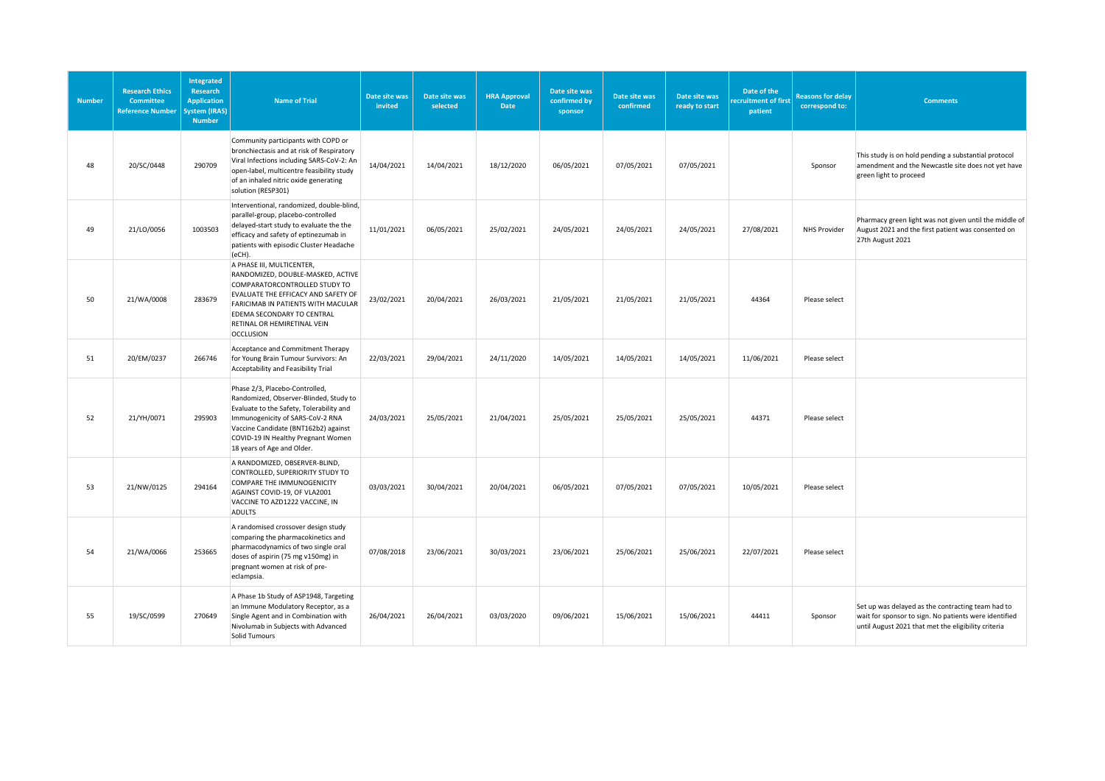| <b>Number</b> | <b>Research Ethics</b><br><b>Committee</b><br><b>Reference Number</b> | Integrated<br><b>Research</b><br><b>Application</b><br><b>ystem (IRAS)</b><br><b>Number</b> | <b>Name of Trial</b>                                                                                                                                                                                                                                                 | Date site was<br>invited | Date site was<br>selected | <b>HRA Approval</b><br><b>Date</b> | Date site was<br>confirmed by<br>sponsor | Date site was<br>confirmed | Date site was<br>ready to start | Date of the<br>ecruitment of first<br>patient | <b>Reasons for delay</b><br>correspond to: | <b>Comments</b>                                                                                                                                                   |
|---------------|-----------------------------------------------------------------------|---------------------------------------------------------------------------------------------|----------------------------------------------------------------------------------------------------------------------------------------------------------------------------------------------------------------------------------------------------------------------|--------------------------|---------------------------|------------------------------------|------------------------------------------|----------------------------|---------------------------------|-----------------------------------------------|--------------------------------------------|-------------------------------------------------------------------------------------------------------------------------------------------------------------------|
| 48            | 20/SC/0448                                                            | 290709                                                                                      | Community participants with COPD or<br>bronchiectasis and at risk of Respiratory<br>Viral Infections including SARS-CoV-2: An<br>open-label, multicentre feasibility study<br>of an inhaled nitric oxide generating<br>solution (RESP301)                            | 14/04/2021               | 14/04/2021                | 18/12/2020                         | 06/05/2021                               | 07/05/2021                 | 07/05/2021                      |                                               | Sponsor                                    | This study is on hold pending a substantial protocol<br>amendment and the Newcastle site does not yet have<br>green light to proceed                              |
| 49            | 21/LO/0056                                                            | 1003503                                                                                     | Interventional, randomized, double-blind,<br>parallel-group, placebo-controlled<br>delayed-start study to evaluate the the<br>efficacy and safety of eptinezumab in<br>patients with episodic Cluster Headache<br>(eCH).                                             | 11/01/2021               | 06/05/2021                | 25/02/2021                         | 24/05/2021                               | 24/05/2021                 | 24/05/2021                      | 27/08/2021                                    | <b>NHS Provider</b>                        | Pharmacy green light was not given until the middle of<br>August 2021 and the first patient was consented on<br>27th August 2021                                  |
| 50            | 21/WA/0008                                                            | 283679                                                                                      | A PHASE III, MULTICENTER,<br>RANDOMIZED, DOUBLE-MASKED, ACTIVE<br>COMPARATORCONTROLLED STUDY TO<br>EVALUATE THE EFFICACY AND SAFETY OF<br>FARICIMAB IN PATIENTS WITH MACULAR<br>EDEMA SECONDARY TO CENTRAL<br>RETINAL OR HEMIRETINAL VEIN<br><b>OCCLUSION</b>        | 23/02/2021               | 20/04/2021                | 26/03/2021                         | 21/05/2021                               | 21/05/2021                 | 21/05/2021                      | 44364                                         | Please select                              |                                                                                                                                                                   |
| 51            | 20/EM/0237                                                            | 266746                                                                                      | Acceptance and Commitment Therapy<br>for Young Brain Tumour Survivors: An<br>Acceptability and Feasibility Trial                                                                                                                                                     | 22/03/2021               | 29/04/2021                | 24/11/2020                         | 14/05/2021                               | 14/05/2021                 | 14/05/2021                      | 11/06/2021                                    | Please select                              |                                                                                                                                                                   |
| 52            | 21/YH/0071                                                            | 295903                                                                                      | Phase 2/3, Placebo-Controlled,<br>Randomized, Observer-Blinded, Study to<br>Evaluate to the Safety, Tolerability and<br>Immunogenicity of SARS-CoV-2 RNA<br>Vaccine Candidate (BNT162b2) against<br>COVID-19 IN Healthy Pregnant Women<br>18 years of Age and Older. | 24/03/2021               | 25/05/2021                | 21/04/2021                         | 25/05/2021                               | 25/05/2021                 | 25/05/2021                      | 44371                                         | Please select                              |                                                                                                                                                                   |
| 53            | 21/NW/0125                                                            | 294164                                                                                      | A RANDOMIZED, OBSERVER-BLIND,<br>CONTROLLED, SUPERIORITY STUDY TO<br>COMPARE THE IMMUNOGENICITY<br>AGAINST COVID-19, OF VLA2001<br>VACCINE TO AZD1222 VACCINE, IN<br><b>ADULTS</b>                                                                                   | 03/03/2021               | 30/04/2021                | 20/04/2021                         | 06/05/2021                               | 07/05/2021                 | 07/05/2021                      | 10/05/2021                                    | Please select                              |                                                                                                                                                                   |
| 54            | 21/WA/0066                                                            | 253665                                                                                      | A randomised crossover design study<br>comparing the pharmacokinetics and<br>pharmacodynamics of two single oral<br>doses of aspirin (75 mg v150mg) in<br>pregnant women at risk of pre-<br>eclampsia.                                                               | 07/08/2018               | 23/06/2021                | 30/03/2021                         | 23/06/2021                               | 25/06/2021                 | 25/06/2021                      | 22/07/2021                                    | Please select                              |                                                                                                                                                                   |
| 55            | 19/SC/0599                                                            | 270649                                                                                      | A Phase 1b Study of ASP1948, Targeting<br>an Immune Modulatory Receptor, as a<br>Single Agent and in Combination with<br>Nivolumab in Subjects with Advanced<br><b>Solid Tumours</b>                                                                                 | 26/04/2021               | 26/04/2021                | 03/03/2020                         | 09/06/2021                               | 15/06/2021                 | 15/06/2021                      | 44411                                         | Sponsor                                    | Set up was delayed as the contracting team had to<br>wait for sponsor to sign. No patients were identified<br>until August 2021 that met the eligibility criteria |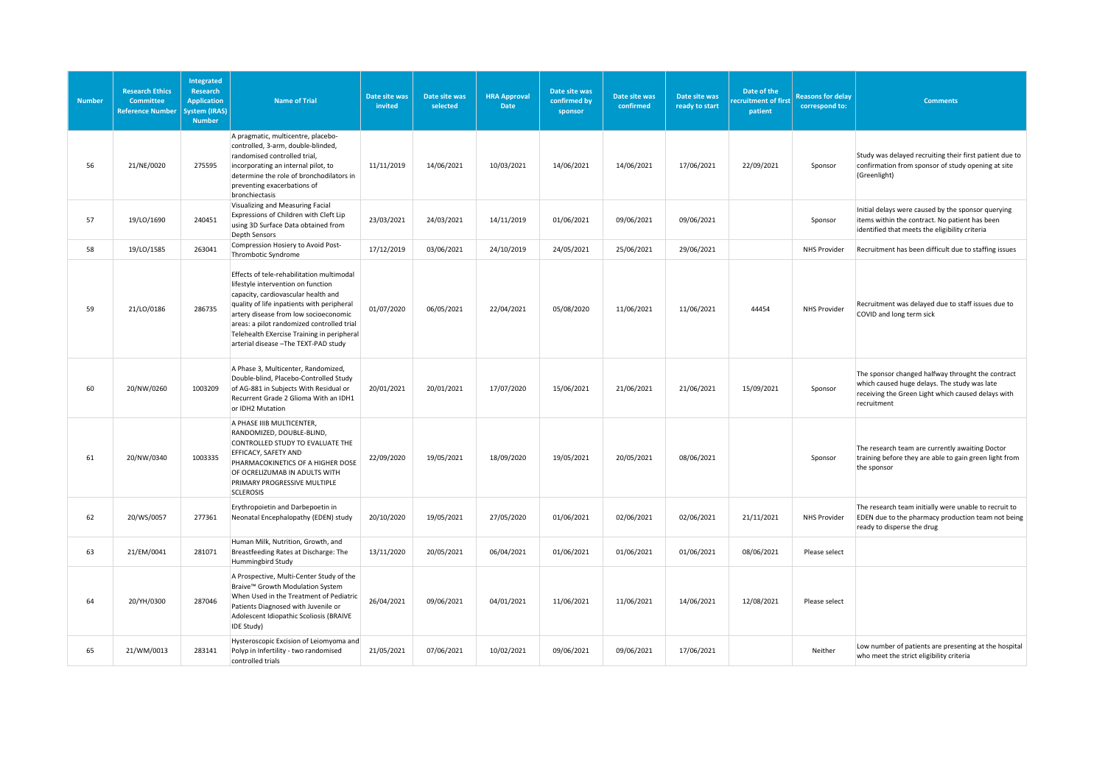| <b>Number</b> | <b>Research Ethics</b><br><b>Committee</b><br><b>Reference Number</b> | <b>Integrated</b><br><b>Research</b><br><b>Application</b><br><b>ystem (IRAS)</b><br><b>Number</b> | <b>Name of Trial</b>                                                                                                                                                                                                                                                                                                                               | Date site was<br>invited | Date site was<br>selected | <b>HRA Approval</b><br><b>Date</b> | Date site was<br>confirmed by<br>sponsor | Date site was<br>confirmed | Date site was<br>ready to start | Date of the<br>ecruitment of first<br>patient | <b>Reasons for delay</b><br>correspond to: | <b>Comments</b>                                                                                                                                                        |
|---------------|-----------------------------------------------------------------------|----------------------------------------------------------------------------------------------------|----------------------------------------------------------------------------------------------------------------------------------------------------------------------------------------------------------------------------------------------------------------------------------------------------------------------------------------------------|--------------------------|---------------------------|------------------------------------|------------------------------------------|----------------------------|---------------------------------|-----------------------------------------------|--------------------------------------------|------------------------------------------------------------------------------------------------------------------------------------------------------------------------|
| 56            | 21/NE/0020                                                            | 275595                                                                                             | A pragmatic, multicentre, placebo-<br>controlled, 3-arm, double-blinded,<br>randomised controlled trial,<br>incorporating an internal pilot, to<br>determine the role of bronchodilators in<br>preventing exacerbations of<br>bronchiectasis                                                                                                       | 11/11/2019               | 14/06/2021                | 10/03/2021                         | 14/06/2021                               | 14/06/2021                 | 17/06/2021                      | 22/09/2021                                    | Sponsor                                    | Study was delayed recruiting their first patient due to<br>confirmation from sponsor of study opening at site<br>(Greenlight)                                          |
| 57            | 19/LO/1690                                                            | 240451                                                                                             | Visualizing and Measuring Facial<br>Expressions of Children with Cleft Lip<br>using 3D Surface Data obtained from<br><b>Depth Sensors</b>                                                                                                                                                                                                          | 23/03/2021               | 24/03/2021                | 14/11/2019                         | 01/06/2021                               | 09/06/2021                 | 09/06/2021                      |                                               | Sponsor                                    | Initial delays were caused by the sponsor querying<br>items within the contract. No patient has been<br>identified that meets the eligibility criteria                 |
| 58            | 19/LO/1585                                                            | 263041                                                                                             | Compression Hosiery to Avoid Post-<br>Thrombotic Syndrome                                                                                                                                                                                                                                                                                          | 17/12/2019               | 03/06/2021                | 24/10/2019                         | 24/05/2021                               | 25/06/2021                 | 29/06/2021                      |                                               | NHS Provider                               | Recruitment has been difficult due to staffing issues                                                                                                                  |
| 59            | 21/LO/0186                                                            | 286735                                                                                             | Effects of tele-rehabilitation multimodal<br>lifestyle intervention on function<br>capacity, cardiovascular health and<br>quality of life inpatients with peripheral<br>artery disease from low socioeconomic<br>areas: a pilot randomized controlled trial<br>Telehealth EXercise Training in peripheral<br>arterial disease - The TEXT-PAD study | 01/07/2020               | 06/05/2021                | 22/04/2021                         | 05/08/2020                               | 11/06/2021                 | 11/06/2021                      | 44454                                         | NHS Provider                               | Recruitment was delayed due to staff issues due to<br>COVID and long term sick                                                                                         |
| 60            | 20/NW/0260                                                            | 1003209                                                                                            | A Phase 3, Multicenter, Randomized,<br>Double-blind, Placebo-Controlled Study<br>of AG-881 in Subjects With Residual or<br>Recurrent Grade 2 Glioma With an IDH1<br>or IDH2 Mutation                                                                                                                                                               | 20/01/2021               | 20/01/2021                | 17/07/2020                         | 15/06/2021                               | 21/06/2021                 | 21/06/2021                      | 15/09/2021                                    | Sponsor                                    | The sponsor changed halfway throught the contract<br>which caused huge delays. The study was late<br>receiving the Green Light which caused delays with<br>recruitment |
| 61            | 20/NW/0340                                                            | 1003335                                                                                            | A PHASE IIIB MULTICENTER,<br>RANDOMIZED, DOUBLE-BLIND,<br>CONTROLLED STUDY TO EVALUATE THE<br>EFFICACY, SAFETY AND<br>PHARMACOKINETICS OF A HIGHER DOSE<br>OF OCRELIZUMAB IN ADULTS WITH<br>PRIMARY PROGRESSIVE MULTIPLE<br><b>SCLEROSIS</b>                                                                                                       | 22/09/2020               | 19/05/2021                | 18/09/2020                         | 19/05/2021                               | 20/05/2021                 | 08/06/2021                      |                                               | Sponsor                                    | The research team are currently awaiting Doctor<br>training before they are able to gain green light from<br>the sponsor                                               |
| 62            | 20/WS/0057                                                            | 277361                                                                                             | Erythropoietin and Darbepoetin in<br>Neonatal Encephalopathy (EDEN) study                                                                                                                                                                                                                                                                          | 20/10/2020               | 19/05/2021                | 27/05/2020                         | 01/06/2021                               | 02/06/2021                 | 02/06/2021                      | 21/11/2021                                    | NHS Provider                               | The research team initially were unable to recruit to<br>EDEN due to the pharmacy production team not being<br>ready to disperse the drug                              |
| 63            | 21/EM/0041                                                            | 281071                                                                                             | Human Milk, Nutrition, Growth, and<br>Breastfeeding Rates at Discharge: The<br>Hummingbird Study                                                                                                                                                                                                                                                   | 13/11/2020               | 20/05/2021                | 06/04/2021                         | 01/06/2021                               | 01/06/2021                 | 01/06/2021                      | 08/06/2021                                    | Please select                              |                                                                                                                                                                        |
| 64            | 20/YH/0300                                                            | 287046                                                                                             | A Prospective, Multi-Center Study of the<br>Braive™ Growth Modulation System<br>When Used in the Treatment of Pediatric<br>Patients Diagnosed with Juvenile or<br>Adolescent Idiopathic Scoliosis (BRAIVE<br>IDE Study)                                                                                                                            | 26/04/2021               | 09/06/2021                | 04/01/2021                         | 11/06/2021                               | 11/06/2021                 | 14/06/2021                      | 12/08/2021                                    | Please select                              |                                                                                                                                                                        |
| 65            | 21/WM/0013                                                            | 283141                                                                                             | Hysteroscopic Excision of Leiomyoma and<br>Polyp in Infertility - two randomised<br>controlled trials                                                                                                                                                                                                                                              | 21/05/2021               | 07/06/2021                | 10/02/2021                         | 09/06/2021                               | 09/06/2021                 | 17/06/2021                      |                                               | Neither                                    | Low number of patients are presenting at the hospital<br>who meet the strict eligibility criteria                                                                      |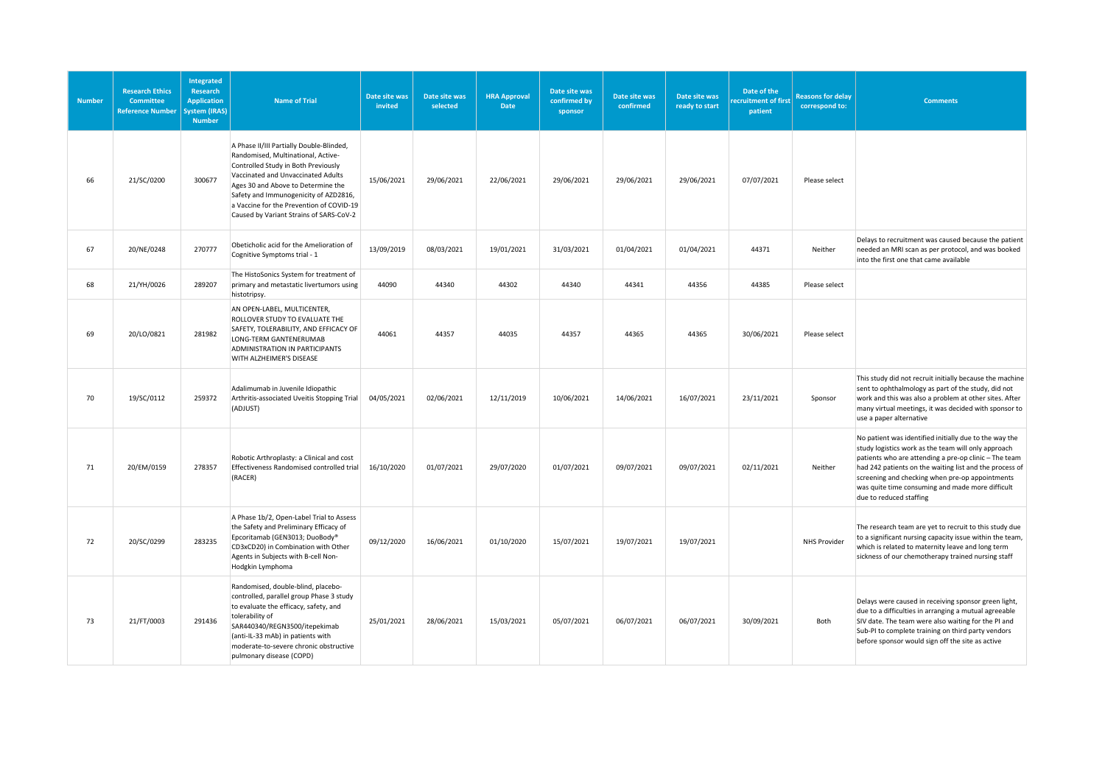| <b>Number</b> | <b>Research Ethics</b><br><b>Committee</b><br><b>Reference Number</b> | Integrated<br><b>Research</b><br><b>Application</b><br>ystem (IRAS)<br><b>Number</b> | <b>Name of Trial</b>                                                                                                                                                                                                                                                                                                              | Date site was<br>invited | Date site was<br>selected | <b>HRA Approval</b><br><b>Date</b> | Date site was<br>confirmed by<br>sponsor | Date site was<br>confirmed | Date site was<br>ready to start | Date of the<br>ecruitment of first<br>patient | <b>Reasons for delay</b><br>correspond to: | <b>Comments</b>                                                                                                                                                                                                                                                                                                                                                     |
|---------------|-----------------------------------------------------------------------|--------------------------------------------------------------------------------------|-----------------------------------------------------------------------------------------------------------------------------------------------------------------------------------------------------------------------------------------------------------------------------------------------------------------------------------|--------------------------|---------------------------|------------------------------------|------------------------------------------|----------------------------|---------------------------------|-----------------------------------------------|--------------------------------------------|---------------------------------------------------------------------------------------------------------------------------------------------------------------------------------------------------------------------------------------------------------------------------------------------------------------------------------------------------------------------|
| 66            | 21/SC/0200                                                            | 300677                                                                               | A Phase II/III Partially Double-Blinded,<br>Randomised, Multinational, Active-<br>Controlled Study in Both Previously<br>Vaccinated and Unvaccinated Adults<br>Ages 30 and Above to Determine the<br>Safety and Immunogenicity of AZD2816,<br>a Vaccine for the Prevention of COVID-19<br>Caused by Variant Strains of SARS-CoV-2 | 15/06/2021               | 29/06/2021                | 22/06/2021                         | 29/06/2021                               | 29/06/2021                 | 29/06/2021                      | 07/07/2021                                    | Please select                              |                                                                                                                                                                                                                                                                                                                                                                     |
| 67            | 20/NE/0248                                                            | 270777                                                                               | Obeticholic acid for the Amelioration of<br>Cognitive Symptoms trial - 1                                                                                                                                                                                                                                                          | 13/09/2019               | 08/03/2021                | 19/01/2021                         | 31/03/2021                               | 01/04/2021                 | 01/04/2021                      | 44371                                         | Neither                                    | Delays to recruitment was caused because the patient<br>needed an MRI scan as per protocol, and was booked<br>into the first one that came available                                                                                                                                                                                                                |
| 68            | 21/YH/0026                                                            | 289207                                                                               | The HistoSonics System for treatment of<br>primary and metastatic livertumors using<br>histotripsy.                                                                                                                                                                                                                               | 44090                    | 44340                     | 44302                              | 44340                                    | 44341                      | 44356                           | 44385                                         | Please select                              |                                                                                                                                                                                                                                                                                                                                                                     |
| 69            | 20/LO/0821                                                            | 281982                                                                               | AN OPEN-LABEL, MULTICENTER,<br>ROLLOVER STUDY TO EVALUATE THE<br>SAFETY, TOLERABILITY, AND EFFICACY OF<br>LONG-TERM GANTENERUMAB<br>ADMINISTRATION IN PARTICIPANTS<br>WITH ALZHEIMER'S DISEASE                                                                                                                                    | 44061                    | 44357                     | 44035                              | 44357                                    | 44365                      | 44365                           | 30/06/2021                                    | Please select                              |                                                                                                                                                                                                                                                                                                                                                                     |
| 70            | 19/SC/0112                                                            | 259372                                                                               | Adalimumab in Juvenile Idiopathic<br>Arthritis-associated Uveitis Stopping Trial<br>(ADJUST)                                                                                                                                                                                                                                      | 04/05/2021               | 02/06/2021                | 12/11/2019                         | 10/06/2021                               | 14/06/2021                 | 16/07/2021                      | 23/11/2021                                    | Sponsor                                    | This study did not recruit initially because the machine<br>sent to ophthalmology as part of the study, did not<br>work and this was also a problem at other sites. After<br>many virtual meetings, it was decided with sponsor to<br>use a paper alternative                                                                                                       |
| 71            | 20/EM/0159                                                            | 278357                                                                               | Robotic Arthroplasty: a Clinical and cost<br>Effectiveness Randomised controlled trial<br>(RACER)                                                                                                                                                                                                                                 | 16/10/2020               | 01/07/2021                | 29/07/2020                         | 01/07/2021                               | 09/07/2021                 | 09/07/2021                      | 02/11/2021                                    | Neither                                    | No patient was identified initially due to the way the<br>study logistics work as the team will only approach<br>patients who are attending a pre-op clinic - The team<br>had 242 patients on the waiting list and the process of<br>screening and checking when pre-op appointments<br>was quite time consuming and made more difficult<br>due to reduced staffing |
| 72            | 20/SC/0299                                                            | 283235                                                                               | A Phase 1b/2, Open-Label Trial to Assess<br>the Safety and Preliminary Efficacy of<br>Epcoritamab (GEN3013; DuoBody®<br>CD3xCD20) in Combination with Other<br>Agents in Subjects with B-cell Non-<br>Hodgkin Lymphoma                                                                                                            | 09/12/2020               | 16/06/2021                | 01/10/2020                         | 15/07/2021                               | 19/07/2021                 | 19/07/2021                      |                                               | <b>NHS Provider</b>                        | The research team are yet to recruit to this study due<br>to a significant nursing capacity issue within the team,<br>which is related to maternity leave and long term<br>sickness of our chemotherapy trained nursing staff                                                                                                                                       |
| 73            | 21/FT/0003                                                            | 291436                                                                               | Randomised, double-blind, placebo-<br>controlled, parallel group Phase 3 study<br>to evaluate the efficacy, safety, and<br>tolerability of<br>SAR440340/REGN3500/itepekimab<br>(anti-IL-33 mAb) in patients with<br>moderate-to-severe chronic obstructive<br>pulmonary disease (COPD)                                            | 25/01/2021               | 28/06/2021                | 15/03/2021                         | 05/07/2021                               | 06/07/2021                 | 06/07/2021                      | 30/09/2021                                    | Both                                       | Delays were caused in receiving sponsor green light,<br>due to a difficulties in arranging a mutual agreeable<br>SIV date. The team were also waiting for the PI and<br>Sub-PI to complete training on third party vendors<br>before sponsor would sign off the site as active                                                                                      |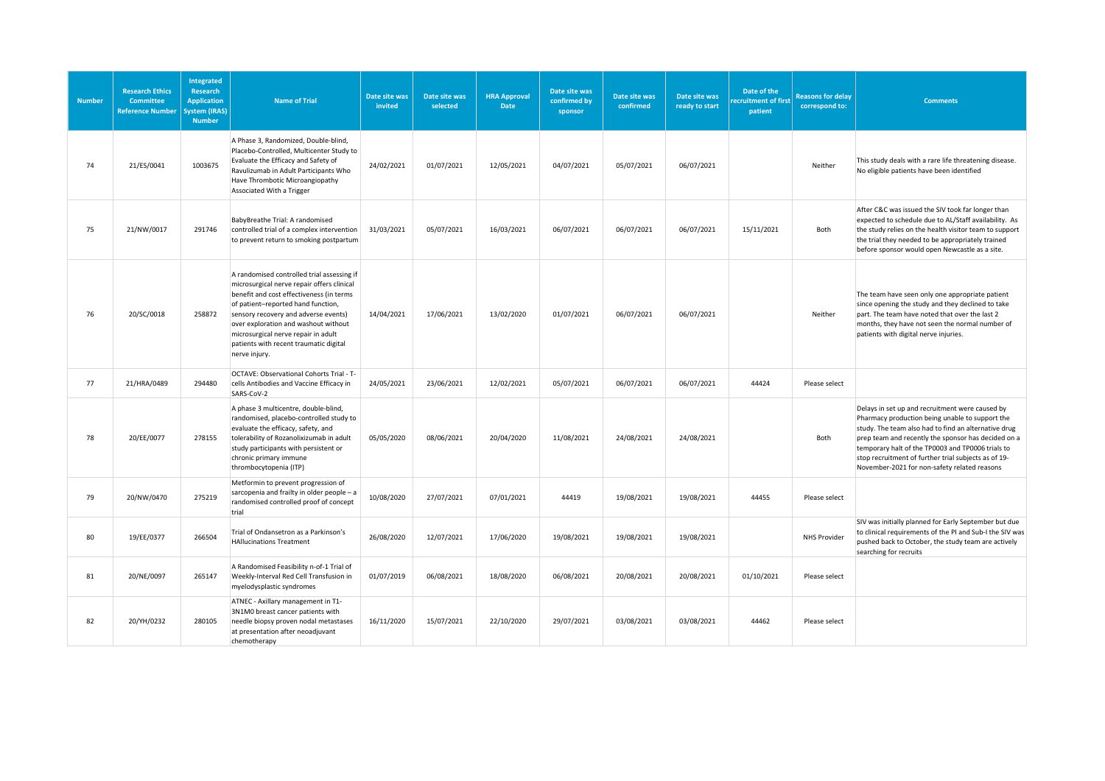| <b>Number</b> | <b>Research Ethics</b><br>Committee<br><b>Reference Number</b> | <b>Integrated</b><br>Research<br><b>Application</b><br>vstem (IRAS)<br><b>Number</b> | <b>Name of Trial</b>                                                                                                                                                                                                                                                                                                                                         | Date site was<br>invited | Date site was<br>selected | <b>HRA Approval</b><br>Date | Date site was<br>confirmed by<br>sponsor | Date site was<br>confirmed | Date site was<br>ready to start | Date of the<br>ecruitment of first<br>patient | <b>Reasons for delay</b><br>correspond to: | <b>Comments</b>                                                                                                                                                                                                                                                                                                                                                                |
|---------------|----------------------------------------------------------------|--------------------------------------------------------------------------------------|--------------------------------------------------------------------------------------------------------------------------------------------------------------------------------------------------------------------------------------------------------------------------------------------------------------------------------------------------------------|--------------------------|---------------------------|-----------------------------|------------------------------------------|----------------------------|---------------------------------|-----------------------------------------------|--------------------------------------------|--------------------------------------------------------------------------------------------------------------------------------------------------------------------------------------------------------------------------------------------------------------------------------------------------------------------------------------------------------------------------------|
| 74            | 21/ES/0041                                                     | 1003675                                                                              | A Phase 3, Randomized, Double-blind,<br>Placebo-Controlled, Multicenter Study to<br>Evaluate the Efficacy and Safety of<br>Ravulizumab in Adult Participants Who<br>Have Thrombotic Microangiopathy<br>Associated With a Trigger                                                                                                                             | 24/02/2021               | 01/07/2021                | 12/05/2021                  | 04/07/2021                               | 05/07/2021                 | 06/07/2021                      |                                               | Neither                                    | This study deals with a rare life threatening disease.<br>No eligible patients have been identified                                                                                                                                                                                                                                                                            |
| 75            | 21/NW/0017                                                     | 291746                                                                               | BabyBreathe Trial: A randomised<br>controlled trial of a complex intervention<br>to prevent return to smoking postpartum                                                                                                                                                                                                                                     | 31/03/2021               | 05/07/2021                | 16/03/2021                  | 06/07/2021                               | 06/07/2021                 | 06/07/2021                      | 15/11/2021                                    | Both                                       | After C&C was issued the SIV took far longer than<br>expected to schedule due to AL/Staff availability. As<br>the study relies on the health visitor team to support<br>the trial they needed to be appropriately trained<br>before sponsor would open Newcastle as a site.                                                                                                    |
| 76            | 20/SC/0018                                                     | 258872                                                                               | A randomised controlled trial assessing if<br>microsurgical nerve repair offers clinical<br>benefit and cost effectiveness (in terms<br>of patient-reported hand function,<br>sensory recovery and adverse events)<br>over exploration and washout without<br>microsurgical nerve repair in adult<br>patients with recent traumatic digital<br>nerve injury. | 14/04/2021               | 17/06/2021                | 13/02/2020                  | 01/07/2021                               | 06/07/2021                 | 06/07/2021                      |                                               | Neither                                    | The team have seen only one appropriate patient<br>since opening the study and they declined to take<br>part. The team have noted that over the last 2<br>months, they have not seen the normal number of<br>patients with digital nerve injuries.                                                                                                                             |
| 77            | 21/HRA/0489                                                    | 294480                                                                               | OCTAVE: Observational Cohorts Trial - T-<br>cells Antibodies and Vaccine Efficacy in<br>SARS-CoV-2                                                                                                                                                                                                                                                           | 24/05/2021               | 23/06/2021                | 12/02/2021                  | 05/07/2021                               | 06/07/2021                 | 06/07/2021                      | 44424                                         | Please select                              |                                                                                                                                                                                                                                                                                                                                                                                |
| 78            | 20/EE/0077                                                     | 278155                                                                               | A phase 3 multicentre, double-blind,<br>randomised, placebo-controlled study to<br>evaluate the efficacy, safety, and<br>tolerability of Rozanolixizumab in adult<br>study participants with persistent or<br>chronic primary immune<br>thrombocytopenia (ITP)                                                                                               | 05/05/2020               | 08/06/2021                | 20/04/2020                  | 11/08/2021                               | 24/08/2021                 | 24/08/2021                      |                                               | Both                                       | Delays in set up and recruitment were caused by<br>Pharmacy production being unable to support the<br>study. The team also had to find an alternative drug<br>prep team and recently the sponsor has decided on a<br>temporary halt of the TP0003 and TP0006 trials to<br>stop recruitment of further trial subjects as of 19-<br>November-2021 for non-safety related reasons |
| 79            | 20/NW/0470                                                     | 275219                                                                               | Metformin to prevent progression of<br>sarcopenia and frailty in older people - a<br>randomised controlled proof of concept<br>trial                                                                                                                                                                                                                         | 10/08/2020               | 27/07/2021                | 07/01/2021                  | 44419                                    | 19/08/2021                 | 19/08/2021                      | 44455                                         | Please select                              |                                                                                                                                                                                                                                                                                                                                                                                |
| 80            | 19/EE/0377                                                     | 266504                                                                               | Trial of Ondansetron as a Parkinson's<br><b>HAllucinations Treatment</b>                                                                                                                                                                                                                                                                                     | 26/08/2020               | 12/07/2021                | 17/06/2020                  | 19/08/2021                               | 19/08/2021                 | 19/08/2021                      |                                               | <b>NHS Provider</b>                        | SIV was initially planned for Early September but due<br>to clinical requirements of the PI and Sub-I the SIV was<br>pushed back to October, the study team are actively<br>searching for recruits                                                                                                                                                                             |
| 81            | 20/NE/0097                                                     | 265147                                                                               | A Randomised Feasibility n-of-1 Trial of<br>Weekly-Interval Red Cell Transfusion in<br>myelodysplastic syndromes                                                                                                                                                                                                                                             | 01/07/2019               | 06/08/2021                | 18/08/2020                  | 06/08/2021                               | 20/08/2021                 | 20/08/2021                      | 01/10/2021                                    | Please select                              |                                                                                                                                                                                                                                                                                                                                                                                |
| 82            | 20/YH/0232                                                     | 280105                                                                               | ATNEC - Axillary management in T1-<br>3N1M0 breast cancer patients with<br>needle biopsy proven nodal metastases<br>at presentation after neoadjuvant<br>chemotherapy                                                                                                                                                                                        | 16/11/2020               | 15/07/2021                | 22/10/2020                  | 29/07/2021                               | 03/08/2021                 | 03/08/2021                      | 44462                                         | Please select                              |                                                                                                                                                                                                                                                                                                                                                                                |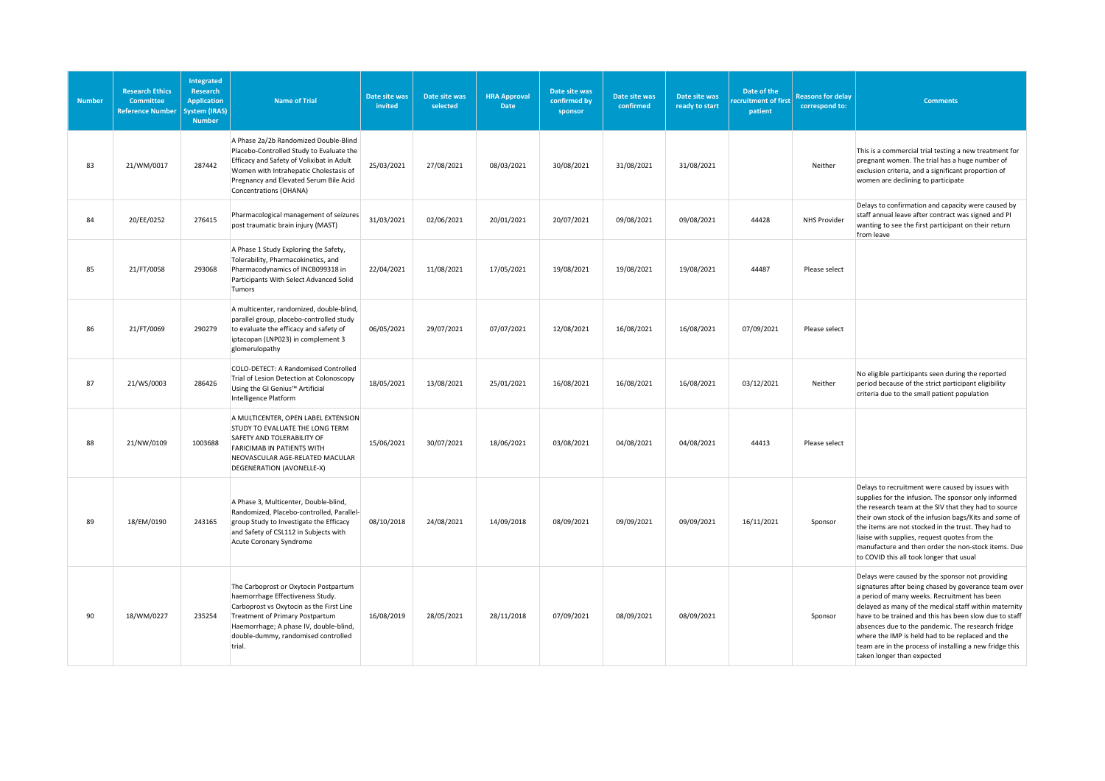| <b>Number</b> | <b>Research Ethics</b><br><b>Committee</b><br><b>Reference Number</b> | <b>Integrated</b><br>Research<br><b>Application</b><br>ystem (IRAS)<br><b>Number</b> | <b>Name of Trial</b>                                                                                                                                                                                                                                | Date site was<br>invited | Date site was<br>selected | <b>HRA Approval</b><br><b>Date</b> | Date site was<br>confirmed by<br>sponsor | Date site was<br>confirmed | Date site was<br>ready to start | Date of the<br>ecruitment of first<br>patient | <b>Reasons for delay</b><br>correspond to: | <b>Comments</b>                                                                                                                                                                                                                                                                                                                                                                                                                                                              |
|---------------|-----------------------------------------------------------------------|--------------------------------------------------------------------------------------|-----------------------------------------------------------------------------------------------------------------------------------------------------------------------------------------------------------------------------------------------------|--------------------------|---------------------------|------------------------------------|------------------------------------------|----------------------------|---------------------------------|-----------------------------------------------|--------------------------------------------|------------------------------------------------------------------------------------------------------------------------------------------------------------------------------------------------------------------------------------------------------------------------------------------------------------------------------------------------------------------------------------------------------------------------------------------------------------------------------|
| 83            | 21/WM/0017                                                            | 287442                                                                               | A Phase 2a/2b Randomized Double-Blind<br>Placebo-Controlled Study to Evaluate the<br>Efficacy and Safety of Volixibat in Adult<br>Women with Intrahepatic Cholestasis of<br>Pregnancy and Elevated Serum Bile Acid<br>Concentrations (OHANA)        | 25/03/2021               | 27/08/2021                | 08/03/2021                         | 30/08/2021                               | 31/08/2021                 | 31/08/2021                      |                                               | Neither                                    | This is a commercial trial testing a new treatment for<br>pregnant women. The trial has a huge number of<br>exclusion criteria, and a significant proportion of<br>women are declining to participate                                                                                                                                                                                                                                                                        |
| 84            | 20/EE/0252                                                            | 276415                                                                               | Pharmacological management of seizures<br>post traumatic brain injury (MAST)                                                                                                                                                                        | 31/03/2021               | 02/06/2021                | 20/01/2021                         | 20/07/2021                               | 09/08/2021                 | 09/08/2021                      | 44428                                         | <b>NHS Provider</b>                        | Delays to confirmation and capacity were caused by<br>staff annual leave after contract was signed and PI<br>wanting to see the first participant on their return<br>from leave                                                                                                                                                                                                                                                                                              |
| 85            | 21/FT/0058                                                            | 293068                                                                               | A Phase 1 Study Exploring the Safety,<br>Tolerability, Pharmacokinetics, and<br>Pharmacodynamics of INCB099318 in<br>Participants With Select Advanced Solid<br>Tumors                                                                              | 22/04/2021               | 11/08/2021                | 17/05/2021                         | 19/08/2021                               | 19/08/2021                 | 19/08/2021                      | 44487                                         | Please select                              |                                                                                                                                                                                                                                                                                                                                                                                                                                                                              |
| 86            | 21/FT/0069                                                            | 290279                                                                               | A multicenter, randomized, double-blind,<br>parallel group, placebo-controlled study<br>to evaluate the efficacy and safety of<br>iptacopan (LNP023) in complement 3<br>glomerulopathy                                                              | 06/05/2021               | 29/07/2021                | 07/07/2021                         | 12/08/2021                               | 16/08/2021                 | 16/08/2021                      | 07/09/2021                                    | Please select                              |                                                                                                                                                                                                                                                                                                                                                                                                                                                                              |
| 87            | 21/WS/0003                                                            | 286426                                                                               | COLO-DETECT: A Randomised Controlled<br>Trial of Lesion Detection at Colonoscopy<br>Using the GI Genius™ Artificial<br>Intelligence Platform                                                                                                        | 18/05/2021               | 13/08/2021                | 25/01/2021                         | 16/08/2021                               | 16/08/2021                 | 16/08/2021                      | 03/12/2021                                    | Neither                                    | No eligible participants seen during the reported<br>period because of the strict participant eligibility<br>criteria due to the small patient population                                                                                                                                                                                                                                                                                                                    |
| 88            | 21/NW/0109                                                            | 1003688                                                                              | A MULTICENTER, OPEN LABEL EXTENSION<br>STUDY TO EVALUATE THE LONG TERM<br>SAFETY AND TOLERABILITY OF<br><b>FARICIMAB IN PATIENTS WITH</b><br>NEOVASCULAR AGE-RELATED MACULAR<br>DEGENERATION (AVONELLE-X)                                           | 15/06/2021               | 30/07/2021                | 18/06/2021                         | 03/08/2021                               | 04/08/2021                 | 04/08/2021                      | 44413                                         | Please select                              |                                                                                                                                                                                                                                                                                                                                                                                                                                                                              |
| 89            | 18/EM/0190                                                            | 243165                                                                               | A Phase 3, Multicenter, Double-blind,<br>Randomized, Placebo-controlled, Parallel-<br>group Study to Investigate the Efficacy<br>and Safety of CSL112 in Subjects with<br>Acute Coronary Syndrome                                                   | 08/10/2018               | 24/08/2021                | 14/09/2018                         | 08/09/2021                               | 09/09/2021                 | 09/09/2021                      | 16/11/2021                                    | Sponsor                                    | Delays to recruitment were caused by issues with<br>supplies for the infusion. The sponsor only informed<br>the research team at the SIV that they had to source<br>their own stock of the infusion bags/Kits and some of<br>the items are not stocked in the trust. They had to<br>liaise with supplies, request quotes from the<br>manufacture and then order the non-stock items. Due<br>to COVID this all took longer that usual                                         |
| 90            | 18/WM/0227                                                            | 235254                                                                               | The Carboprost or Oxytocin Postpartum<br>haemorrhage Effectiveness Study.<br>Carboprost vs Oxytocin as the First Line<br>Treatment of Primary Postpartum<br>Haemorrhage; A phase IV, double-blind,<br>double-dummy, randomised controlled<br>trial. | 16/08/2019               | 28/05/2021                | 28/11/2018                         | 07/09/2021                               | 08/09/2021                 | 08/09/2021                      |                                               | Sponsor                                    | Delays were caused by the sponsor not providing<br>signatures after being chased by goverance team over<br>a period of many weeks. Recruitment has been<br>delayed as many of the medical staff within maternity<br>have to be trained and this has been slow due to staff<br>absences due to the pandemic. The research fridge<br>where the IMP is held had to be replaced and the<br>team are in the process of installing a new fridge this<br>taken longer than expected |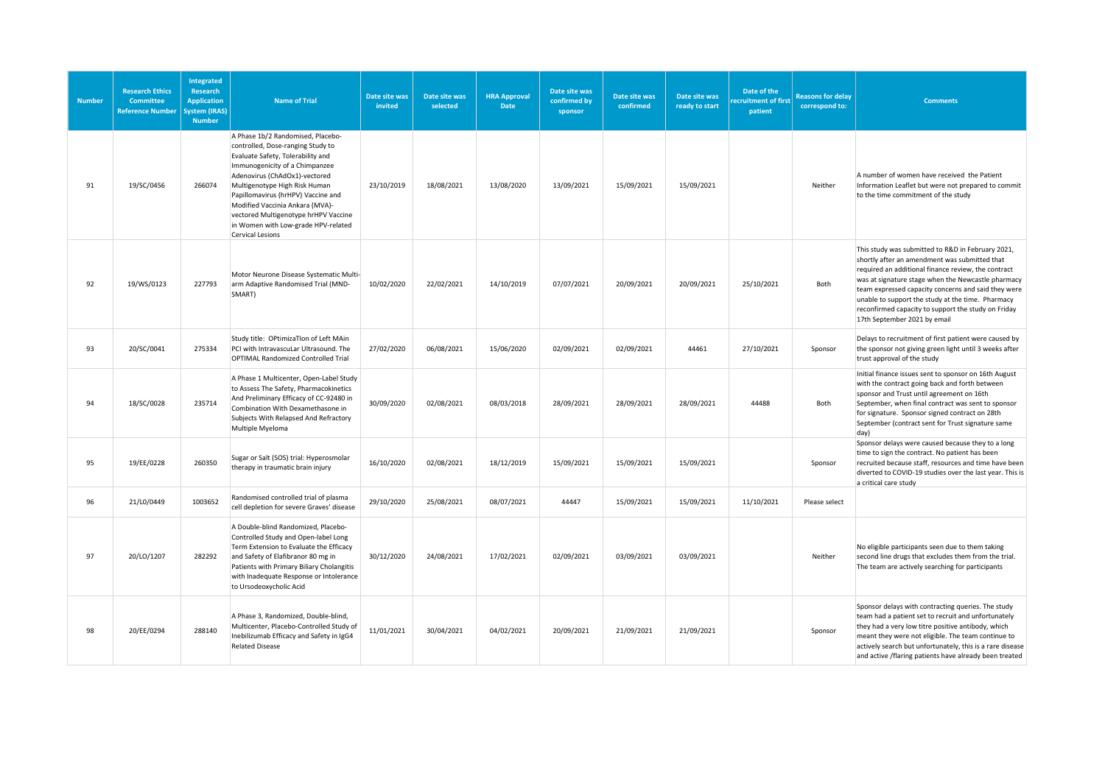| <b>Number</b> | <b>Research Ethics</b><br><b>Committee</b><br><b>Reference Number</b> | <b>Integrated</b><br>Research<br><b>Application</b><br>ystem (IRAS)<br><b>Number</b> | <b>Name of Trial</b>                                                                                                                                                                                                                                                                                                                                                                               | Date site was<br>invited | Date site was<br>selected | <b>HRA Approval</b><br><b>Date</b> | Date site was<br>confirmed by<br>sponsor | Date site was<br>confirmed | Date site was<br>ready to start | Date of the<br>ecruitment of first<br>patient | <b>Reasons for delay</b><br>correspond to: | <b>Comments</b>                                                                                                                                                                                                                                                                                                                                                                                                    |
|---------------|-----------------------------------------------------------------------|--------------------------------------------------------------------------------------|----------------------------------------------------------------------------------------------------------------------------------------------------------------------------------------------------------------------------------------------------------------------------------------------------------------------------------------------------------------------------------------------------|--------------------------|---------------------------|------------------------------------|------------------------------------------|----------------------------|---------------------------------|-----------------------------------------------|--------------------------------------------|--------------------------------------------------------------------------------------------------------------------------------------------------------------------------------------------------------------------------------------------------------------------------------------------------------------------------------------------------------------------------------------------------------------------|
| 91            | 19/SC/0456                                                            | 266074                                                                               | A Phase 1b/2 Randomised, Placebo-<br>controlled, Dose-ranging Study to<br>Evaluate Safety, Tolerability and<br>Immunogenicity of a Chimpanzee<br>Adenovirus (ChAdOx1)-vectored<br>Multigenotype High Risk Human<br>Papillomavirus (hrHPV) Vaccine and<br>Modified Vaccinia Ankara (MVA)-<br>vectored Multigenotype hrHPV Vaccine<br>in Women with Low-grade HPV-related<br><b>Cervical Lesions</b> | 23/10/2019               | 18/08/2021                | 13/08/2020                         | 13/09/2021                               | 15/09/2021                 | 15/09/2021                      |                                               | Neither                                    | A number of women have received the Patient<br>Information Leaflet but were not prepared to commit<br>to the time commitment of the study                                                                                                                                                                                                                                                                          |
| 92            | 19/WS/0123                                                            | 227793                                                                               | Motor Neurone Disease Systematic Multi-<br>arm Adaptive Randomised Trial (MND-<br>SMART)                                                                                                                                                                                                                                                                                                           | 10/02/2020               | 22/02/2021                | 14/10/2019                         | 07/07/2021                               | 20/09/2021                 | 20/09/2021                      | 25/10/2021                                    | Both                                       | This study was submitted to R&D in February 2021,<br>shortly after an amendment was submitted that<br>required an additional finance review, the contract<br>was at signature stage when the Newcastle pharmacy<br>team expressed capacity concerns and said they were<br>unable to support the study at the time. Pharmacy<br>reconfirmed capacity to support the study on Friday<br>17th September 2021 by email |
| 93            | 20/SC/0041                                                            | 275334                                                                               | Study title: OPtimizaTIon of Left MAin<br>PCI with IntravascuLar Ultrasound. The<br><b>OPTIMAL Randomized Controlled Trial</b>                                                                                                                                                                                                                                                                     | 27/02/2020               | 06/08/2021                | 15/06/2020                         | 02/09/2021                               | 02/09/2021                 | 44461                           | 27/10/2021                                    | Sponsor                                    | Delays to recruitment of first patient were caused by<br>the sponsor not giving green light until 3 weeks after<br>trust approval of the study                                                                                                                                                                                                                                                                     |
| 94            | 18/SC/0028                                                            | 235714                                                                               | A Phase 1 Multicenter, Open-Label Study<br>to Assess The Safety, Pharmacokinetics<br>And Preliminary Efficacy of CC-92480 in<br>Combination With Dexamethasone in<br>Subjects With Relapsed And Refractory<br>Multiple Myeloma                                                                                                                                                                     | 30/09/2020               | 02/08/2021                | 08/03/2018                         | 28/09/2021                               | 28/09/2021                 | 28/09/2021                      | 44488                                         | Both                                       | Initial finance issues sent to sponsor on 16th August<br>with the contract going back and forth between<br>sponsor and Trust until agreement on 16th<br>September, when final contract was sent to sponsor<br>for signature. Sponsor signed contract on 28th<br>September (contract sent for Trust signature same<br>day)                                                                                          |
| 95            | 19/EE/0228                                                            | 260350                                                                               | Sugar or Salt (SOS) trial: Hyperosmolar<br>therapy in traumatic brain injury                                                                                                                                                                                                                                                                                                                       | 16/10/2020               | 02/08/2021                | 18/12/2019                         | 15/09/2021                               | 15/09/2021                 | 15/09/2021                      |                                               | Sponsor                                    | Sponsor delays were caused because they to a long<br>time to sign the contract. No patient has been<br>recruited because staff, resources and time have been<br>diverted to COVID-19 studies over the last year. This is<br>a critical care study                                                                                                                                                                  |
| 96            | 21/L0/0449                                                            | 1003652                                                                              | Randomised controlled trial of plasma<br>cell depletion for severe Graves' disease                                                                                                                                                                                                                                                                                                                 | 29/10/2020               | 25/08/2021                | 08/07/2021                         | 44447                                    | 15/09/2021                 | 15/09/2021                      | 11/10/2021                                    | Please select                              |                                                                                                                                                                                                                                                                                                                                                                                                                    |
| 97            | 20/LO/1207                                                            | 282292                                                                               | A Double-blind Randomized, Placebo-<br>Controlled Study and Open-label Long<br>Term Extension to Evaluate the Efficacy<br>and Safety of Elafibranor 80 mg in<br>Patients with Primary Biliary Cholangitis<br>with Inadequate Response or Intolerance<br>to Ursodeoxycholic Acid                                                                                                                    | 30/12/2020               | 24/08/2021                | 17/02/2021                         | 02/09/2021                               | 03/09/2021                 | 03/09/2021                      |                                               | Neither                                    | No eligible participants seen due to them taking<br>second line drugs that excludes them from the trial.<br>The team are actively searching for participants                                                                                                                                                                                                                                                       |
| 98            | 20/EE/0294                                                            | 288140                                                                               | A Phase 3, Randomized, Double-blind,<br>Multicenter, Placebo-Controlled Study of<br>Inebilizumab Efficacy and Safety in IgG4<br><b>Related Disease</b>                                                                                                                                                                                                                                             | 11/01/2021               | 30/04/2021                | 04/02/2021                         | 20/09/2021                               | 21/09/2021                 | 21/09/2021                      |                                               | Sponsor                                    | Sponsor delays with contracting queries. The study<br>team had a patient set to recruit and unfortunately<br>they had a very low titre positive antibody, which<br>meant they were not eligible. The team continue to<br>actively search but unfortunately, this is a rare disease<br>and active /flaring patients have already been treated                                                                       |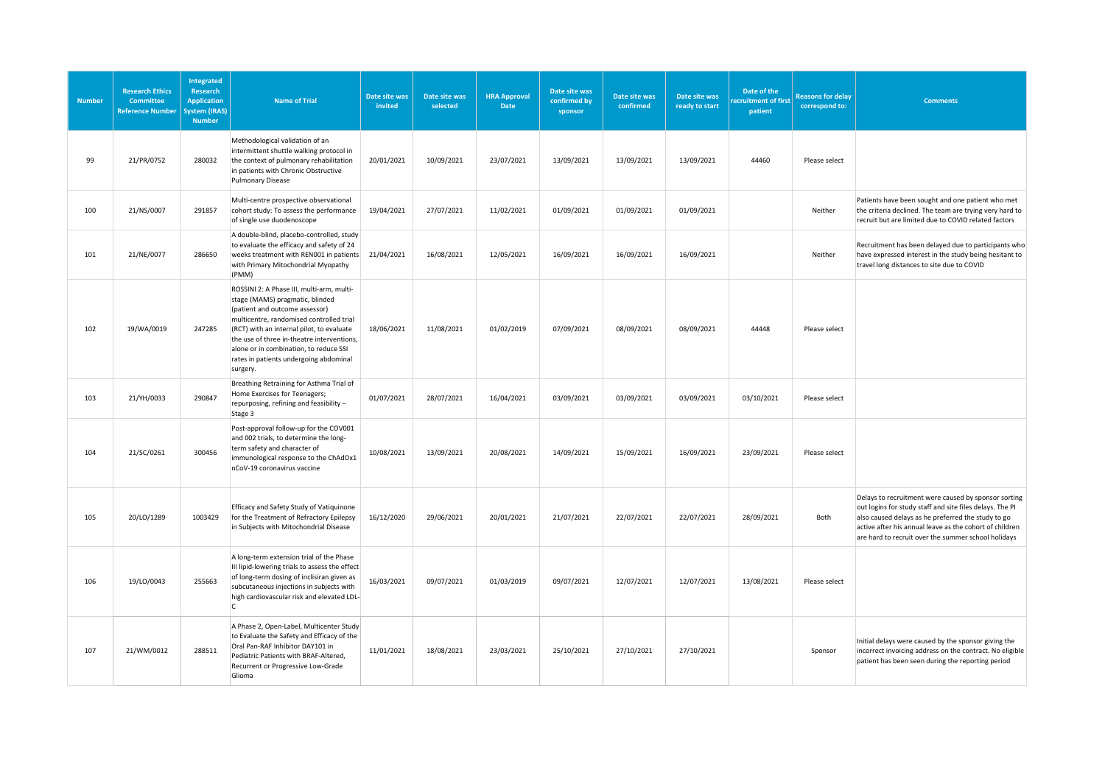| <b>Number</b> | <b>Research Ethics</b><br>Committee<br><b>Reference Number</b> | Integrated<br><b>Research</b><br><b>Application</b><br>ystem (IRAS)<br><b>Number</b> | <b>Name of Trial</b>                                                                                                                                                                                                                                                                                                                                  | Date site was<br>invited | Date site was<br>selected | <b>HRA Approval</b><br>Date | Date site was<br>confirmed by<br>sponsor | Date site was<br>confirmed | Date site was<br>ready to start | Date of the<br>ecruitment of first<br>patient | <b>Reasons for delay</b><br>correspond to: | <b>Comments</b>                                                                                                                                                                                                                                                                          |
|---------------|----------------------------------------------------------------|--------------------------------------------------------------------------------------|-------------------------------------------------------------------------------------------------------------------------------------------------------------------------------------------------------------------------------------------------------------------------------------------------------------------------------------------------------|--------------------------|---------------------------|-----------------------------|------------------------------------------|----------------------------|---------------------------------|-----------------------------------------------|--------------------------------------------|------------------------------------------------------------------------------------------------------------------------------------------------------------------------------------------------------------------------------------------------------------------------------------------|
| 99            | 21/PR/0752                                                     | 280032                                                                               | Methodological validation of an<br>intermittent shuttle walking protocol in<br>the context of pulmonary rehabilitation<br>in patients with Chronic Obstructive<br><b>Pulmonary Disease</b>                                                                                                                                                            | 20/01/2021               | 10/09/2021                | 23/07/2021                  | 13/09/2021                               | 13/09/2021                 | 13/09/2021                      | 44460                                         | Please select                              |                                                                                                                                                                                                                                                                                          |
| 100           | 21/NS/0007                                                     | 291857                                                                               | Multi-centre prospective observational<br>cohort study: To assess the performance<br>of single use duodenoscope                                                                                                                                                                                                                                       | 19/04/2021               | 27/07/2021                | 11/02/2021                  | 01/09/2021                               | 01/09/2021                 | 01/09/2021                      |                                               | Neither                                    | Patients have been sought and one patient who met<br>the criteria declined. The team are trying very hard to<br>recruit but are limited due to COVID related factors                                                                                                                     |
| 101           | 21/NE/0077                                                     | 286650                                                                               | A double-blind, placebo-controlled, study<br>to evaluate the efficacy and safety of 24<br>weeks treatment with REN001 in patients<br>with Primary Mitochondrial Myopathy<br>(PMM)                                                                                                                                                                     | 21/04/2021               | 16/08/2021                | 12/05/2021                  | 16/09/2021                               | 16/09/2021                 | 16/09/2021                      |                                               | Neither                                    | Recruitment has been delayed due to participants who<br>have expressed interest in the study being hesitant to<br>travel long distances to site due to COVID                                                                                                                             |
| 102           | 19/WA/0019                                                     | 247285                                                                               | ROSSINI 2: A Phase III, multi-arm, multi-<br>stage (MAMS) pragmatic, blinded<br>(patient and outcome assessor)<br>multicentre, randomised controlled trial<br>(RCT) with an internal pilot, to evaluate<br>the use of three in-theatre interventions,<br>alone or in combination, to reduce SSI<br>rates in patients undergoing abdominal<br>surgery. | 18/06/2021               | 11/08/2021                | 01/02/2019                  | 07/09/2021                               | 08/09/2021                 | 08/09/2021                      | 44448                                         | Please select                              |                                                                                                                                                                                                                                                                                          |
| 103           | 21/YH/0033                                                     | 290847                                                                               | Breathing Retraining for Asthma Trial of<br>Home Exercises for Teenagers;<br>repurposing, refining and feasibility -<br>Stage 3                                                                                                                                                                                                                       | 01/07/2021               | 28/07/2021                | 16/04/2021                  | 03/09/2021                               | 03/09/2021                 | 03/09/2021                      | 03/10/2021                                    | Please select                              |                                                                                                                                                                                                                                                                                          |
| 104           | 21/SC/0261                                                     | 300456                                                                               | Post-approval follow-up for the COV001<br>and 002 trials, to determine the long-<br>term safety and character of<br>immunological response to the ChAdOx1<br>nCoV-19 coronavirus vaccine                                                                                                                                                              | 10/08/2021               | 13/09/2021                | 20/08/2021                  | 14/09/2021                               | 15/09/2021                 | 16/09/2021                      | 23/09/2021                                    | Please select                              |                                                                                                                                                                                                                                                                                          |
| 105           | 20/LO/1289                                                     | 1003429                                                                              | Efficacy and Safety Study of Vatiquinone<br>for the Treatment of Refractory Epilepsy<br>in Subjects with Mitochondrial Disease                                                                                                                                                                                                                        | 16/12/2020               | 29/06/2021                | 20/01/2021                  | 21/07/2021                               | 22/07/2021                 | 22/07/2021                      | 28/09/2021                                    | Both                                       | Delays to recruitment were caused by sponsor sorting<br>out logins for study staff and site files delays. The PI<br>also caused delays as he preferred the study to go<br>active after his annual leave as the cohort of children<br>are hard to recruit over the summer school holidays |
| 106           | 19/LO/0043                                                     | 255663                                                                               | A long-term extension trial of the Phase<br>III lipid-lowering trials to assess the effect<br>of long-term dosing of inclisiran given as<br>subcutaneous injections in subjects with<br>high cardiovascular risk and elevated LDL-<br>$\mathsf{C}$                                                                                                    | 16/03/2021               | 09/07/2021                | 01/03/2019                  | 09/07/2021                               | 12/07/2021                 | 12/07/2021                      | 13/08/2021                                    | Please select                              |                                                                                                                                                                                                                                                                                          |
| 107           | 21/WM/0012                                                     | 288511                                                                               | A Phase 2, Open-Label, Multicenter Study<br>to Evaluate the Safety and Efficacy of the<br>Oral Pan-RAF Inhibitor DAY101 in<br>Pediatric Patients with BRAF-Altered,<br>Recurrent or Progressive Low-Grade<br>Glioma                                                                                                                                   | 11/01/2021               | 18/08/2021                | 23/03/2021                  | 25/10/2021                               | 27/10/2021                 | 27/10/2021                      |                                               | Sponsor                                    | Initial delays were caused by the sponsor giving the<br>incorrect invoicing address on the contract. No eligible<br>patient has been seen during the reporting period                                                                                                                    |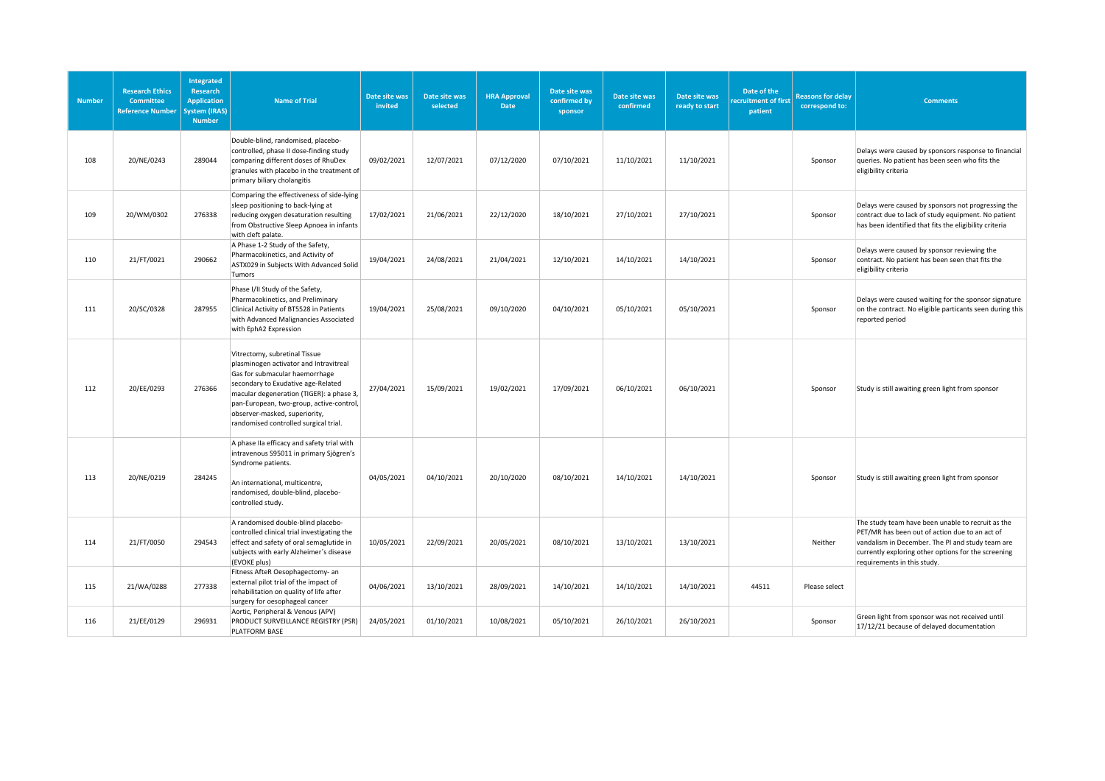| <b>Number</b> | <b>Research Ethics</b><br><b>Committee</b><br><b>Reference Number</b> | Integrated<br><b>Research</b><br><b>Application</b><br>ystem (IRAS)<br><b>Number</b> | <b>Name of Trial</b>                                                                                                                                                                                                                                                                                              | Date site was<br>invited | Date site was<br>selected | <b>HRA Approval</b><br>Date | Date site was<br>confirmed by<br>sponsor | Date site was<br>confirmed | Date site was<br>ready to start | Date of the<br>ecruitment of first<br>patient | <b>Reasons for delay</b><br>correspond to: | <b>Comments</b>                                                                                                                                                                                                                               |
|---------------|-----------------------------------------------------------------------|--------------------------------------------------------------------------------------|-------------------------------------------------------------------------------------------------------------------------------------------------------------------------------------------------------------------------------------------------------------------------------------------------------------------|--------------------------|---------------------------|-----------------------------|------------------------------------------|----------------------------|---------------------------------|-----------------------------------------------|--------------------------------------------|-----------------------------------------------------------------------------------------------------------------------------------------------------------------------------------------------------------------------------------------------|
| 108           | 20/NE/0243                                                            | 289044                                                                               | Double-blind, randomised, placebo-<br>controlled, phase II dose-finding study<br>comparing different doses of RhuDex<br>granules with placebo in the treatment of<br>primary biliary cholangitis                                                                                                                  | 09/02/2021               | 12/07/2021                | 07/12/2020                  | 07/10/2021                               | 11/10/2021                 | 11/10/2021                      |                                               | Sponsor                                    | Delays were caused by sponsors response to financial<br>queries. No patient has been seen who fits the<br>eligibility criteria                                                                                                                |
| 109           | 20/WM/0302                                                            | 276338                                                                               | Comparing the effectiveness of side-lying<br>sleep positioning to back-lying at<br>reducing oxygen desaturation resulting<br>from Obstructive Sleep Apnoea in infants<br>with cleft palate.                                                                                                                       | 17/02/2021               | 21/06/2021                | 22/12/2020                  | 18/10/2021                               | 27/10/2021                 | 27/10/2021                      |                                               | Sponsor                                    | Delays were caused by sponsors not progressing the<br>contract due to lack of study equipment. No patient<br>has been identified that fits the eligibility criteria                                                                           |
| 110           | 21/FT/0021                                                            | 290662                                                                               | A Phase 1-2 Study of the Safety,<br>Pharmacokinetics, and Activity of<br>ASTX029 in Subjects With Advanced Solid<br>Tumors                                                                                                                                                                                        | 19/04/2021               | 24/08/2021                | 21/04/2021                  | 12/10/2021                               | 14/10/2021                 | 14/10/2021                      |                                               | Sponsor                                    | Delays were caused by sponsor reviewing the<br>contract. No patient has been seen that fits the<br>eligibility criteria                                                                                                                       |
| 111           | 20/SC/0328                                                            | 287955                                                                               | Phase I/II Study of the Safety,<br>Pharmacokinetics, and Preliminary<br>Clinical Activity of BT5528 in Patients<br>with Advanced Malignancies Associated<br>with EphA2 Expression                                                                                                                                 | 19/04/2021               | 25/08/2021                | 09/10/2020                  | 04/10/2021                               | 05/10/2021                 | 05/10/2021                      |                                               | Sponsor                                    | Delays were caused waiting for the sponsor signature<br>on the contract. No eligible particants seen during this<br>reported period                                                                                                           |
| 112           | 20/EE/0293                                                            | 276366                                                                               | Vitrectomy, subretinal Tissue<br>plasminogen activator and Intravitreal<br>Gas for submacular haemorrhage<br>secondary to Exudative age-Related<br>macular degeneration (TIGER): a phase 3,<br>pan-European, two-group, active-control,<br>observer-masked, superiority,<br>randomised controlled surgical trial. | 27/04/2021               | 15/09/2021                | 19/02/2021                  | 17/09/2021                               | 06/10/2021                 | 06/10/2021                      |                                               | Sponsor                                    | Study is still awaiting green light from sponsor                                                                                                                                                                                              |
| 113           | 20/NE/0219                                                            | 284245                                                                               | A phase IIa efficacy and safety trial with<br>intravenous S95011 in primary Sjögren's<br>Syndrome patients.<br>An international, multicentre,<br>randomised, double-blind, placebo-<br>controlled study.                                                                                                          | 04/05/2021               | 04/10/2021                | 20/10/2020                  | 08/10/2021                               | 14/10/2021                 | 14/10/2021                      |                                               | Sponsor                                    | Study is still awaiting green light from sponsor                                                                                                                                                                                              |
| 114           | 21/FT/0050                                                            | 294543                                                                               | A randomised double-blind placebo-<br>controlled clinical trial investigating the<br>effect and safety of oral semaglutide in<br>subjects with early Alzheimer's disease<br>(EVOKE plus)                                                                                                                          | 10/05/2021               | 22/09/2021                | 20/05/2021                  | 08/10/2021                               | 13/10/2021                 | 13/10/2021                      |                                               | Neither                                    | The study team have been unable to recruit as the<br>PET/MR has been out of action due to an act of<br>vandalism in December. The PI and study team are<br>currently exploring other options for the screening<br>requirements in this study. |
| 115           | 21/WA/0288                                                            | 277338                                                                               | Fitness AfteR Oesophagectomy- an<br>external pilot trial of the impact of<br>rehabilitation on quality of life after<br>surgery for oesophageal cancer                                                                                                                                                            | 04/06/2021               | 13/10/2021                | 28/09/2021                  | 14/10/2021                               | 14/10/2021                 | 14/10/2021                      | 44511                                         | Please select                              |                                                                                                                                                                                                                                               |
| 116           | 21/EE/0129                                                            | 296931                                                                               | Aortic, Peripheral & Venous (APV)<br>PRODUCT SURVEILLANCE REGISTRY (PSR)<br>PLATFORM BASE                                                                                                                                                                                                                         | 24/05/2021               | 01/10/2021                | 10/08/2021                  | 05/10/2021                               | 26/10/2021                 | 26/10/2021                      |                                               | Sponsor                                    | Green light from sponsor was not received until<br>17/12/21 because of delayed documentation                                                                                                                                                  |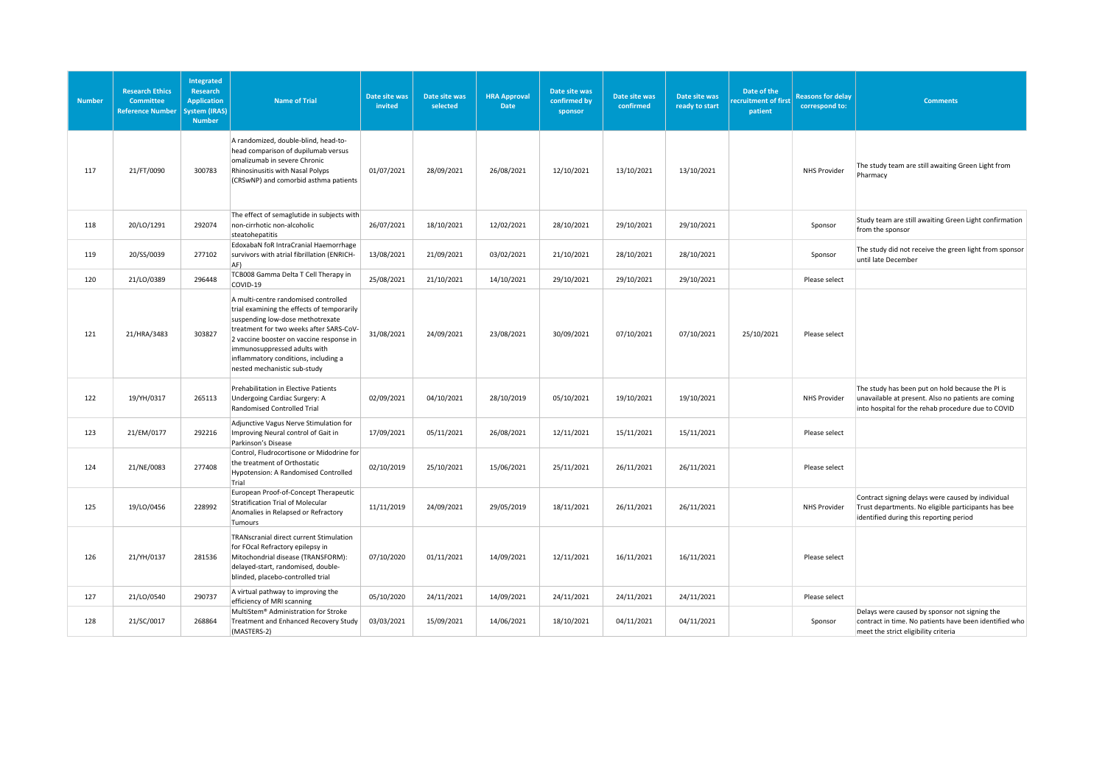| <b>Number</b> | <b>Research Ethics</b><br><b>Committee</b><br><b>Reference Number</b> | <b>Integrated</b><br>Research<br><b>Application</b><br><b>System</b> (IRAS)<br><b>Number</b> | <b>Name of Trial</b>                                                                                                                                                                                                                                                                                                  | Date site was<br>invited | Date site was<br>selected | <b>HRA Approval</b><br>Date | Date site was<br>confirmed by<br>sponsor | Date site was<br>confirmed | Date site was<br>ready to start | Date of the<br>ecruitment of first<br>patient | <b>Reasons for delay</b><br>correspond to: | <b>Comments</b>                                                                                                                                               |
|---------------|-----------------------------------------------------------------------|----------------------------------------------------------------------------------------------|-----------------------------------------------------------------------------------------------------------------------------------------------------------------------------------------------------------------------------------------------------------------------------------------------------------------------|--------------------------|---------------------------|-----------------------------|------------------------------------------|----------------------------|---------------------------------|-----------------------------------------------|--------------------------------------------|---------------------------------------------------------------------------------------------------------------------------------------------------------------|
| 117           | 21/FT/0090                                                            | 300783                                                                                       | A randomized, double-blind, head-to-<br>head comparison of dupilumab versus<br>omalizumab in severe Chronic<br>Rhinosinusitis with Nasal Polyps<br>(CRSwNP) and comorbid asthma patients                                                                                                                              | 01/07/2021               | 28/09/2021                | 26/08/2021                  | 12/10/2021                               | 13/10/2021                 | 13/10/2021                      |                                               | <b>NHS Provider</b>                        | The study team are still awaiting Green Light from<br>Pharmacy                                                                                                |
| 118           | 20/LO/1291                                                            | 292074                                                                                       | The effect of semaglutide in subjects with<br>non-cirrhotic non-alcoholic<br>steatohepatitis                                                                                                                                                                                                                          | 26/07/2021               | 18/10/2021                | 12/02/2021                  | 28/10/2021                               | 29/10/2021                 | 29/10/2021                      |                                               | Sponsor                                    | Study team are still awaiting Green Light confirmation<br>from the sponsor                                                                                    |
| 119           | 20/SS/0039                                                            | 277102                                                                                       | EdoxabaN foR IntraCranial Haemorrhage<br>survivors with atrial fibrillation (ENRICH-<br>AF)                                                                                                                                                                                                                           | 13/08/2021               | 21/09/2021                | 03/02/2021                  | 21/10/2021                               | 28/10/2021                 | 28/10/2021                      |                                               | Sponsor                                    | The study did not receive the green light from sponsor<br>until late December                                                                                 |
| 120           | 21/LO/0389                                                            | 296448                                                                                       | TCB008 Gamma Delta T Cell Therapy in<br>COVID-19                                                                                                                                                                                                                                                                      | 25/08/2021               | 21/10/2021                | 14/10/2021                  | 29/10/2021                               | 29/10/2021                 | 29/10/2021                      |                                               | Please select                              |                                                                                                                                                               |
| 121           | 21/HRA/3483                                                           | 303827                                                                                       | A multi-centre randomised controlled<br>trial examining the effects of temporarily<br>suspending low-dose methotrexate<br>treatment for two weeks after SARS-CoV-<br>2 vaccine booster on vaccine response in<br>immunosuppressed adults with<br>inflammatory conditions, including a<br>nested mechanistic sub-study | 31/08/2021               | 24/09/2021                | 23/08/2021                  | 30/09/2021                               | 07/10/2021                 | 07/10/2021                      | 25/10/2021                                    | Please select                              |                                                                                                                                                               |
| 122           | 19/YH/0317                                                            | 265113                                                                                       | Prehabilitation in Elective Patients<br>Undergoing Cardiac Surgery: A<br>Randomised Controlled Trial                                                                                                                                                                                                                  | 02/09/2021               | 04/10/2021                | 28/10/2019                  | 05/10/2021                               | 19/10/2021                 | 19/10/2021                      |                                               | NHS Provider                               | The study has been put on hold because the PI is<br>unavailable at present. Also no patients are coming<br>into hospital for the rehab procedure due to COVID |
| 123           | 21/EM/0177                                                            | 292216                                                                                       | Adjunctive Vagus Nerve Stimulation for<br>Improving Neural control of Gait in<br>Parkinson's Disease                                                                                                                                                                                                                  | 17/09/2021               | 05/11/2021                | 26/08/2021                  | 12/11/2021                               | 15/11/2021                 | 15/11/2021                      |                                               | Please select                              |                                                                                                                                                               |
| 124           | 21/NE/0083                                                            | 277408                                                                                       | Control, Fludrocortisone or Midodrine for<br>the treatment of Orthostatic<br>Hypotension: A Randomised Controlled<br>Trial                                                                                                                                                                                            | 02/10/2019               | 25/10/2021                | 15/06/2021                  | 25/11/2021                               | 26/11/2021                 | 26/11/2021                      |                                               | Please select                              |                                                                                                                                                               |
| 125           | 19/LO/0456                                                            | 228992                                                                                       | European Proof-of-Concept Therapeutic<br>Stratification Trial of Molecular<br>Anomalies in Relapsed or Refractory<br>Tumours                                                                                                                                                                                          | 11/11/2019               | 24/09/2021                | 29/05/2019                  | 18/11/2021                               | 26/11/2021                 | 26/11/2021                      |                                               | <b>NHS Provider</b>                        | Contract signing delays were caused by individual<br>Trust departments. No eligible participants has bee<br>identified during this reporting period           |
| 126           | 21/YH/0137                                                            | 281536                                                                                       | TRANscranial direct current Stimulation<br>for FOcal Refractory epilepsy in<br>Mitochondrial disease (TRANSFORM):<br>delayed-start, randomised, double-<br>blinded, placebo-controlled trial                                                                                                                          | 07/10/2020               | 01/11/2021                | 14/09/2021                  | 12/11/2021                               | 16/11/2021                 | 16/11/2021                      |                                               | Please select                              |                                                                                                                                                               |
| 127           | 21/LO/0540                                                            | 290737                                                                                       | A virtual pathway to improving the<br>efficiency of MRI scanning                                                                                                                                                                                                                                                      | 05/10/2020               | 24/11/2021                | 14/09/2021                  | 24/11/2021                               | 24/11/2021                 | 24/11/2021                      |                                               | Please select                              |                                                                                                                                                               |
| 128           | 21/SC/0017                                                            | 268864                                                                                       | MultiStem® Administration for Stroke<br>Treatment and Enhanced Recovery Study<br>(MASTERS-2)                                                                                                                                                                                                                          | 03/03/2021               | 15/09/2021                | 14/06/2021                  | 18/10/2021                               | 04/11/2021                 | 04/11/2021                      |                                               | Sponsor                                    | Delays were caused by sponsor not signing the<br>contract in time. No patients have been identified who<br>meet the strict eligibility criteria               |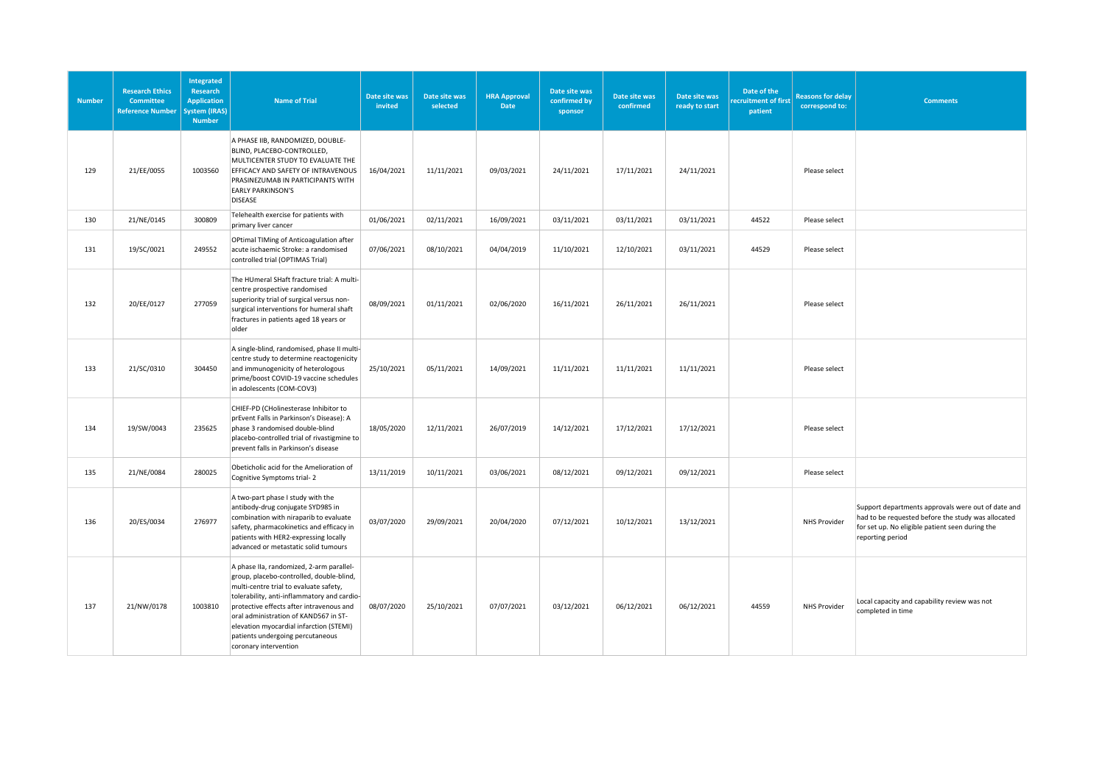| <b>Number</b> | <b>Research Ethics</b><br><b>Committee</b><br><b>Reference Number</b> | Integrated<br>Research<br><b>Application</b><br>ystem (IRAS)<br><b>Number</b> | <b>Name of Trial</b>                                                                                                                                                                                                                                                                                                                                                       | Date site was<br>invited | Date site was<br>selected | <b>HRA Approval</b><br>Date | Date site was<br>confirmed by<br>sponsor | Date site was<br>confirmed | Date site was<br>ready to start | Date of the<br>ecruitment of first<br>patient | <b>Reasons for delay</b><br>correspond to: | <b>Comments</b>                                                                                                                                                                 |
|---------------|-----------------------------------------------------------------------|-------------------------------------------------------------------------------|----------------------------------------------------------------------------------------------------------------------------------------------------------------------------------------------------------------------------------------------------------------------------------------------------------------------------------------------------------------------------|--------------------------|---------------------------|-----------------------------|------------------------------------------|----------------------------|---------------------------------|-----------------------------------------------|--------------------------------------------|---------------------------------------------------------------------------------------------------------------------------------------------------------------------------------|
| 129           | 21/EE/0055                                                            | 1003560                                                                       | A PHASE IIB, RANDOMIZED, DOUBLE-<br>BLIND, PLACEBO-CONTROLLED,<br>MULTICENTER STUDY TO EVALUATE THE<br>EFFICACY AND SAFETY OF INTRAVENOUS<br>PRASINEZUMAB IN PARTICIPANTS WITH<br><b>EARLY PARKINSON'S</b><br><b>DISEASE</b>                                                                                                                                               | 16/04/2021               | 11/11/2021                | 09/03/2021                  | 24/11/2021                               | 17/11/2021                 | 24/11/2021                      |                                               | Please select                              |                                                                                                                                                                                 |
| 130           | 21/NE/0145                                                            | 300809                                                                        | Telehealth exercise for patients with<br>primary liver cancer                                                                                                                                                                                                                                                                                                              | 01/06/2021               | 02/11/2021                | 16/09/2021                  | 03/11/2021                               | 03/11/2021                 | 03/11/2021                      | 44522                                         | Please select                              |                                                                                                                                                                                 |
| 131           | 19/SC/0021                                                            | 249552                                                                        | OPtimal TIMing of Anticoagulation after<br>acute ischaemic Stroke: a randomised<br>controlled trial (OPTIMAS Trial)                                                                                                                                                                                                                                                        | 07/06/2021               | 08/10/2021                | 04/04/2019                  | 11/10/2021                               | 12/10/2021                 | 03/11/2021                      | 44529                                         | Please select                              |                                                                                                                                                                                 |
| 132           | 20/EE/0127                                                            | 277059                                                                        | The HUmeral SHaft fracture trial: A multi-<br>centre prospective randomised<br>superiority trial of surgical versus non-<br>surgical interventions for humeral shaft<br>fractures in patients aged 18 years or<br>older                                                                                                                                                    | 08/09/2021               | 01/11/2021                | 02/06/2020                  | 16/11/2021                               | 26/11/2021                 | 26/11/2021                      |                                               | Please select                              |                                                                                                                                                                                 |
| 133           | 21/SC/0310                                                            | 304450                                                                        | A single-blind, randomised, phase II multi-<br>centre study to determine reactogenicity<br>and immunogenicity of heterologous<br>prime/boost COVID-19 vaccine schedules<br>in adolescents (COM-COV3)                                                                                                                                                                       | 25/10/2021               | 05/11/2021                | 14/09/2021                  | 11/11/2021                               | 11/11/2021                 | 11/11/2021                      |                                               | Please select                              |                                                                                                                                                                                 |
| 134           | 19/SW/0043                                                            | 235625                                                                        | CHIEF-PD (CHolinesterase Inhibitor to<br>prEvent Falls in Parkinson's Disease): A<br>phase 3 randomised double-blind<br>placebo-controlled trial of rivastigmine to<br>prevent falls in Parkinson's disease                                                                                                                                                                | 18/05/2020               | 12/11/2021                | 26/07/2019                  | 14/12/2021                               | 17/12/2021                 | 17/12/2021                      |                                               | Please select                              |                                                                                                                                                                                 |
| 135           | 21/NE/0084                                                            | 280025                                                                        | Obeticholic acid for the Amelioration of<br>Cognitive Symptoms trial-2                                                                                                                                                                                                                                                                                                     | 13/11/2019               | 10/11/2021                | 03/06/2021                  | 08/12/2021                               | 09/12/2021                 | 09/12/2021                      |                                               | Please select                              |                                                                                                                                                                                 |
| 136           | 20/ES/0034                                                            | 276977                                                                        | A two-part phase I study with the<br>antibody-drug conjugate SYD985 in<br>combination with niraparib to evaluate<br>safety, pharmacokinetics and efficacy in<br>patients with HER2-expressing locally<br>advanced or metastatic solid tumours                                                                                                                              | 03/07/2020               | 29/09/2021                | 20/04/2020                  | 07/12/2021                               | 10/12/2021                 | 13/12/2021                      |                                               | <b>NHS Provider</b>                        | Support departments approvals were out of date and<br>had to be requested before the study was allocated<br>for set up. No eligible patient seen during the<br>reporting period |
| 137           | 21/NW/0178                                                            | 1003810                                                                       | A phase IIa, randomized, 2-arm parallel-<br>group, placebo-controlled, double-blind,<br>multi-centre trial to evaluate safety,<br>tolerability, anti-inflammatory and cardio-<br>protective effects after intravenous and<br>oral administration of KAND567 in ST-<br>elevation myocardial infarction (STEMI)<br>patients undergoing percutaneous<br>coronary intervention | 08/07/2020               | 25/10/2021                | 07/07/2021                  | 03/12/2021                               | 06/12/2021                 | 06/12/2021                      | 44559                                         | <b>NHS Provider</b>                        | Local capacity and capability review was not<br>completed in time                                                                                                               |